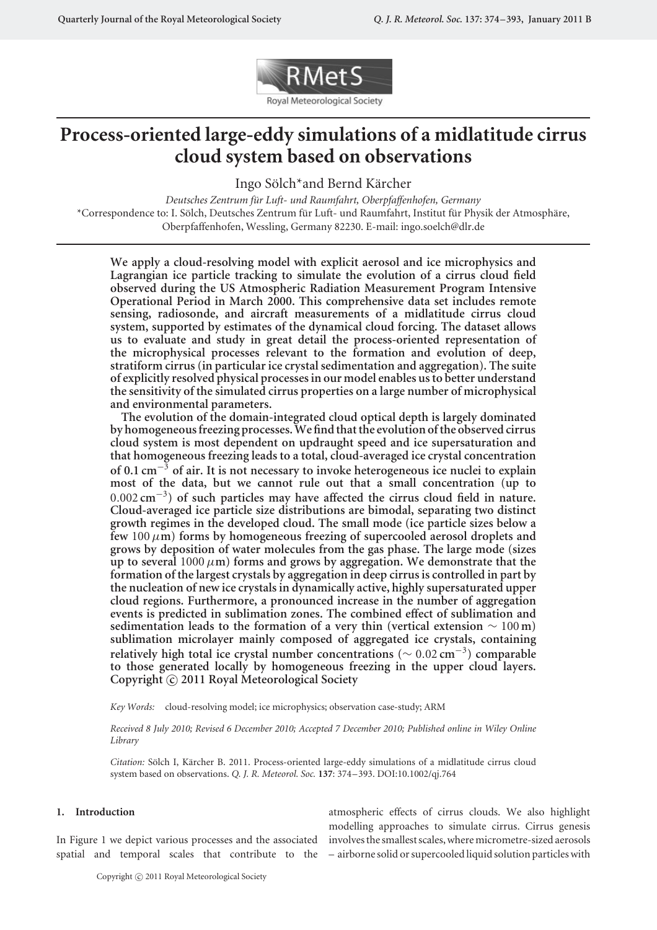

# **Process-oriented large-eddy simulations of a midlatitude cirrus cloud system based on observations**

Ingo Sölch\*and Bernd Kärcher

*Deutsches Zentrum fur Luft- und Raumfahrt, Oberpfaffenhofen, Germany ¨* \*Correspondence to: I. Sölch, Deutsches Zentrum für Luft- und Raumfahrt, Institut für Physik der Atmosphäre, Oberpfaffenhofen, Wessling, Germany 82230. E-mail: ingo.soelch@dlr.de

**We apply a cloud-resolving model with explicit aerosol and ice microphysics and Lagrangian ice particle tracking to simulate the evolution of a cirrus cloud field observed during the US Atmospheric Radiation Measurement Program Intensive Operational Period in March 2000. This comprehensive data set includes remote sensing, radiosonde, and aircraft measurements of a midlatitude cirrus cloud system, supported by estimates of the dynamical cloud forcing. The dataset allows us to evaluate and study in great detail the process-oriented representation of the microphysical processes relevant to the formation and evolution of deep, stratiform cirrus (in particular ice crystalsedimentation and aggregation). The suite of explicitly resolved physical processes in our model enables us to better understand the sensitivity of the simulated cirrus properties on a large number of microphysical and environmental parameters.**

**The evolution of the domain-integrated cloud optical depth is largely dominated by homogeneous freezing processes. We find that the evolution of the observed cirrus cloud system is most dependent on updraught speed and ice supersaturation and that homogeneous freezing leads to a total, cloud-averaged ice crystal concentration of 0.1 cm**−<sup>3</sup> **of air. It is not necessary to invoke heterogeneous ice nuclei to explain most of the data, but we cannot rule out that a small concentration (up to** 0*.*002 **cm**−3**) of such particles may have affected the cirrus cloud field in nature. Cloud-averaged ice particle size distributions are bimodal, separating two distinct growth regimes in the developed cloud. The small mode (ice particle sizes below a** few 100 $\mu$ m) forms by homogeneous freezing of supercooled aerosol droplets and **grows by deposition of water molecules from the gas phase. The large mode (sizes** up to several  $1000 \mu m$ ) forms and grows by aggregation. We demonstrate that the **formation of the largest crystals by aggregation in deep cirrus is controlled in part by the nucleation of new ice crystals in dynamically active, highly supersaturated upper cloud regions. Furthermore, a pronounced increase in the number of aggregation events is predicted in sublimation zones. The combined effect of sublimation and sedimentation leads to the formation of a very thin (vertical extension** ∼ 100 **m) sublimation microlayer mainly composed of aggregated ice crystals, containing relatively high total ice crystal number concentrations (**<sup>∼</sup> <sup>0</sup>*.*<sup>02</sup> **cm**−3**) comparable to those generated locally by homogeneous freezing in the upper cloud layers. Copyright** -**c 2011 Royal Meteorological Society**

*Key Words:* cloud-resolving model; ice microphysics; observation case-study; ARM

*Received 8 July 2010; Revised 6 December 2010; Accepted 7 December 2010; Published online in Wiley Online Library*

*Citation:* Sölch I, Kärcher B. 2011. Process-oriented large-eddy simulations of a midlatitude cirrus cloud system based on observations. *Q. J. R. Meteorol. Soc.* **137**: 374–393. DOI:10.1002/qj.764

#### **1. Introduction**

In Figure 1 we depict various processes and the associated involves the smallest scales, where micrometre-sized aerosols spatial and temporal scales that contribute to the – airborne solid or supercooled liquid solution particles with

atmospheric effects of cirrus clouds. We also highlight modelling approaches to simulate cirrus. Cirrus genesis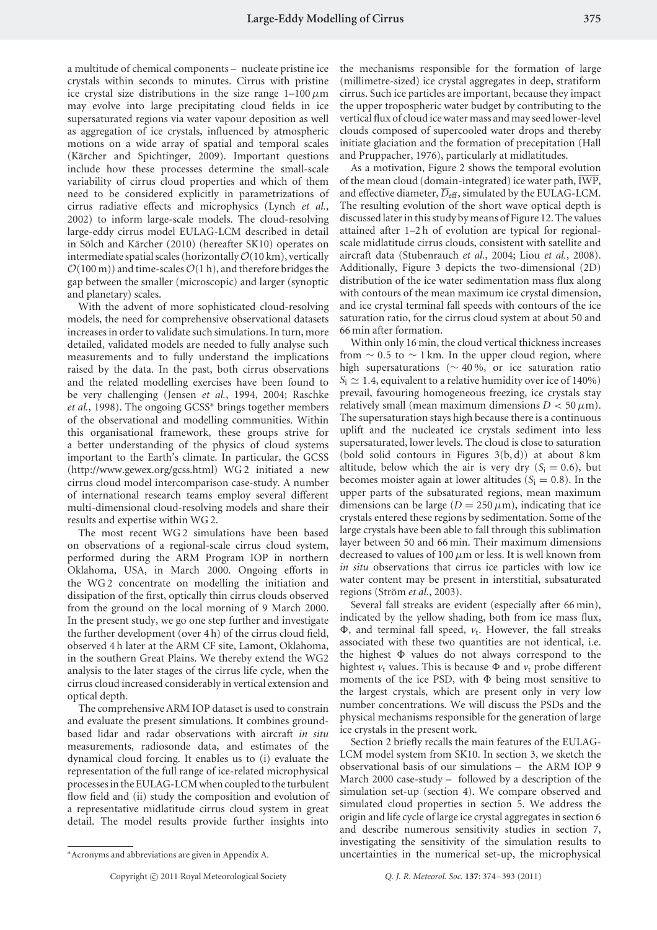a multitude of chemical components – nucleate pristine ice crystals within seconds to minutes. Cirrus with pristine ice crystal size distributions in the size range  $1-100 \mu m$ may evolve into large precipitating cloud fields in ice supersaturated regions via water vapour deposition as well as aggregation of ice crystals, influenced by atmospheric motions on a wide array of spatial and temporal scales (Kärcher and Spichtinger, 2009). Important questions include how these processes determine the small-scale variability of cirrus cloud properties and which of them need to be considered explicitly in parametrizations of cirrus radiative effects and microphysics (Lynch *et al.*, 2002) to inform large-scale models. The cloud-resolving large-eddy cirrus model EULAG-LCM described in detail in Sölch and Kärcher (2010) (hereafter SK10) operates on intermediate spatial scales (horizontally  $\mathcal{O}(10 \text{ km})$ , vertically  $\mathcal{O}(100 \text{ m})$  and time-scales  $\mathcal{O}(1 \text{ h})$ , and therefore bridges the gap between the smaller (microscopic) and larger (synoptic and planetary) scales.

With the advent of more sophisticated cloud-resolving models, the need for comprehensive observational datasets increases in order to validate such simulations. In turn, more detailed, validated models are needed to fully analyse such measurements and to fully understand the implications raised by the data. In the past, both cirrus observations and the related modelling exercises have been found to be very challenging (Jensen *et al.*, 1994, 2004; Raschke *et al.*, 1998). The ongoing GCSS∗ brings together members of the observational and modelling communities. Within this organisational framework, these groups strive for a better understanding of the physics of cloud systems important to the Earth's climate. In particular, the GCSS (http://www.gewex.org/gcss.html) WG 2 initiated a new cirrus cloud model intercomparison case-study. A number of international research teams employ several different multi-dimensional cloud-resolving models and share their results and expertise within WG 2.

The most recent WG 2 simulations have been based on observations of a regional-scale cirrus cloud system, performed during the ARM Program IOP in northern Oklahoma, USA, in March 2000. Ongoing efforts in the WG 2 concentrate on modelling the initiation and dissipation of the first, optically thin cirrus clouds observed from the ground on the local morning of 9 March 2000. In the present study, we go one step further and investigate the further development (over 4 h) of the cirrus cloud field, observed 4 h later at the ARM CF site, Lamont, Oklahoma, in the southern Great Plains. We thereby extend the WG2 analysis to the later stages of the cirrus life cycle, when the cirrus cloud increased considerably in vertical extension and optical depth.

The comprehensive ARM IOP dataset is used to constrain and evaluate the present simulations. It combines groundbased lidar and radar observations with aircraft *in situ* measurements, radiosonde data, and estimates of the dynamical cloud forcing. It enables us to (i) evaluate the representation of the full range of ice-related microphysical processes in the EULAG-LCM when coupled to the turbulent flow field and (ii) study the composition and evolution of a representative midlatitude cirrus cloud system in great detail. The model results provide further insights into

the mechanisms responsible for the formation of large (millimetre-sized) ice crystal aggregates in deep, stratiform cirrus. Such ice particles are important, because they impact the upper tropospheric water budget by contributing to the vertical flux of cloud ice water mass and may seed lower-level clouds composed of supercooled water drops and thereby initiate glaciation and the formation of precepitation (Hall and Pruppacher, 1976), particularly at midlatitudes.

As a motivation, Figure 2 shows the temporal evolution of the mean cloud (domain-integrated) ice water path,  $\overline{\text{IWP}}$ , and effective diameter,  $\overline{D}_{\text{eff}}$ , simulated by the EULAG-LCM. The resulting evolution of the short wave optical depth is discussed later in this study by means of Figure 12. The values attained after 1–2 h of evolution are typical for regionalscale midlatitude cirrus clouds, consistent with satellite and aircraft data (Stubenrauch *et al.*, 2004; Liou *et al.*, 2008). Additionally, Figure 3 depicts the two-dimensional (2D) distribution of the ice water sedimentation mass flux along with contours of the mean maximum ice crystal dimension, and ice crystal terminal fall speeds with contours of the ice saturation ratio, for the cirrus cloud system at about 50 and 66 min after formation.

Within only 16 min, the cloud vertical thickness increases from  $\sim$  0.5 to  $\sim$  1 km. In the upper cloud region, where high supersaturations (∼ 40 %, or ice saturation ratio  $S_i \approx 1.4$ , equivalent to a relative humidity over ice of 140%) prevail, favouring homogeneous freezing, ice crystals stay relatively small (mean maximum dimensions  $D < 50 \,\mu\text{m}$ ). The supersaturation stays high because there is a continuous uplift and the nucleated ice crystals sediment into less supersaturated, lower levels. The cloud is close to saturation (bold solid contours in Figures  $3(b, d)$ ) at about  $8 \text{ km}$ altitude, below which the air is very dry  $(S_i = 0.6)$ , but becomes moister again at lower altitudes  $(S<sub>i</sub> = 0.8)$ . In the upper parts of the subsaturated regions, mean maximum dimensions can be large  $(D = 250 \,\mu\text{m})$ , indicating that ice crystals entered these regions by sedimentation. Some of the large crystals have been able to fall through this sublimation layer between 50 and 66 min. Their maximum dimensions decreased to values of 100  $\mu$ m or less. It is well known from *in situ* observations that cirrus ice particles with low ice water content may be present in interstitial, subsaturated regions (Ström *et al.*, 2003).

Several fall streaks are evident (especially after 66 min), indicated by the yellow shading, both from ice mass flux,  $\Phi$ , and terminal fall speed,  $v_t$ . However, the fall streaks associated with these two quantities are not identical, i.e. the highest  $\Phi$  values do not always correspond to the hightest  $v_t$  values. This is because  $\Phi$  and  $v_t$  probe different moments of the ice PSD, with  $\Phi$  being most sensitive to the largest crystals, which are present only in very low number concentrations. We will discuss the PSDs and the physical mechanisms responsible for the generation of large ice crystals in the present work.

Section 2 briefly recalls the main features of the EULAG-LCM model system from SK10. In section 3, we sketch the observational basis of our simulations – the ARM IOP 9 March 2000 case-study – followed by a description of the simulation set-up (section 4). We compare observed and simulated cloud properties in section 5. We address the origin and life cycle of large ice crystal aggregates in section 6 and describe numerous sensitivity studies in section 7, investigating the sensitivity of the simulation results to uncertainties in the numerical set-up, the microphysical

<sup>∗</sup>Acronyms and abbreviations are given in Appendix A.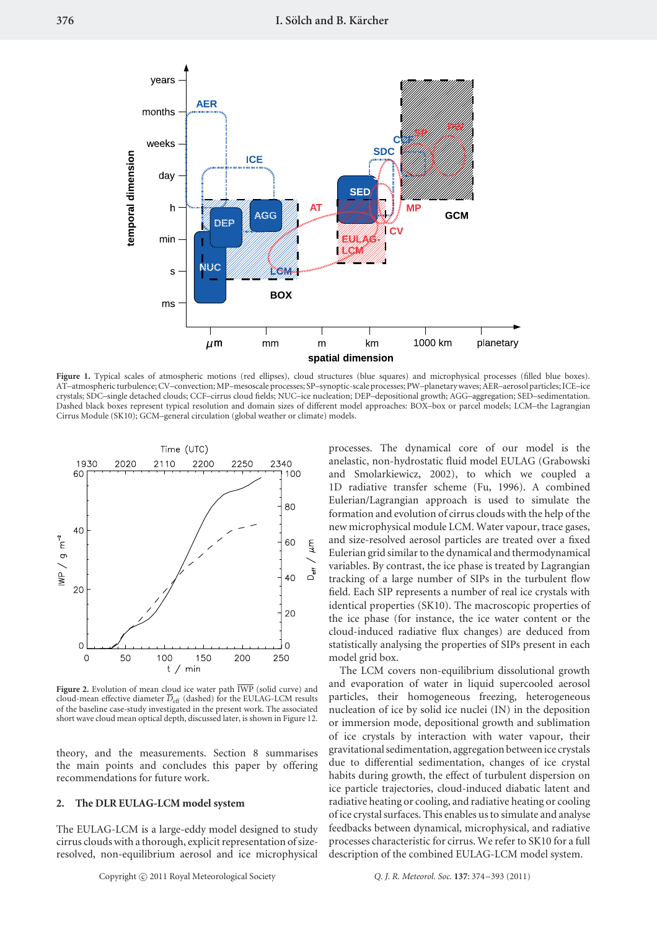

Figure 1. Typical scales of atmospheric motions (red ellipses), cloud structures (blue squares) and microphysical processes (filled blue boxes). AT–atmospheric turbulence; CV–convection; MP–mesoscale processes; SP–synoptic-scale processes; PW–planetarywaves; AER–aerosol particles;ICE–ice crystals; SDC–single detached clouds; CCF–cirrus cloud fields; NUC–ice nucleation; DEP–depositional growth; AGG–aggregation; SED–sedimentation. Dashed black boxes represent typical resolution and domain sizes of different model approaches: BOX–box or parcel models; LCM–the Lagrangian Cirrus Module (SK10); GCM–general circulation (global weather or climate) models.



Figure 2. Evolution of mean cloud ice water path  $\overline{\text{IWP}}$  (solid curve) and cloud-mean effective diameter  $\overline{D}_{\rm eff}$  (dashed) for the EULAG-LCM results of the baseline case-study investigated in the present work. The associated short wave cloud mean optical depth, discussed later, is shown in Figure 12.

theory, and the measurements. Section 8 summarises the main points and concludes this paper by offering recommendations for future work.

## **2. The DLR EULAG-LCM model system**

The EULAG-LCM is a large-eddy model designed to study cirrus clouds with a thorough, explicit representation of sizeresolved, non-equilibrium aerosol and ice microphysical processes. The dynamical core of our model is the anelastic, non-hydrostatic fluid model EULAG (Grabowski and Smolarkiewicz, 2002), to which we coupled a 1D radiative transfer scheme (Fu, 1996). A combined Eulerian/Lagrangian approach is used to simulate the formation and evolution of cirrus clouds with the help of the new microphysical module LCM. Water vapour, trace gases, and size-resolved aerosol particles are treated over a fixed Eulerian grid similar to the dynamical and thermodynamical variables. By contrast, the ice phase is treated by Lagrangian tracking of a large number of SIPs in the turbulent flow field. Each SIP represents a number of real ice crystals with identical properties (SK10). The macroscopic properties of the ice phase (for instance, the ice water content or the cloud-induced radiative flux changes) are deduced from statistically analysing the properties of SIPs present in each model grid box.

The LCM covers non-equilibrium dissolutional growth and evaporation of water in liquid supercooled aerosol particles, their homogeneous freezing, heterogeneous nucleation of ice by solid ice nuclei (IN) in the deposition or immersion mode, depositional growth and sublimation of ice crystals by interaction with water vapour, their gravitational sedimentation, aggregation between ice crystals due to differential sedimentation, changes of ice crystal habits during growth, the effect of turbulent dispersion on ice particle trajectories, cloud-induced diabatic latent and radiative heating or cooling, and radiative heating or cooling of ice crystal surfaces. This enables us to simulate and analyse feedbacks between dynamical, microphysical, and radiative processes characteristic for cirrus. We refer to SK10 for a full description of the combined EULAG-LCM model system.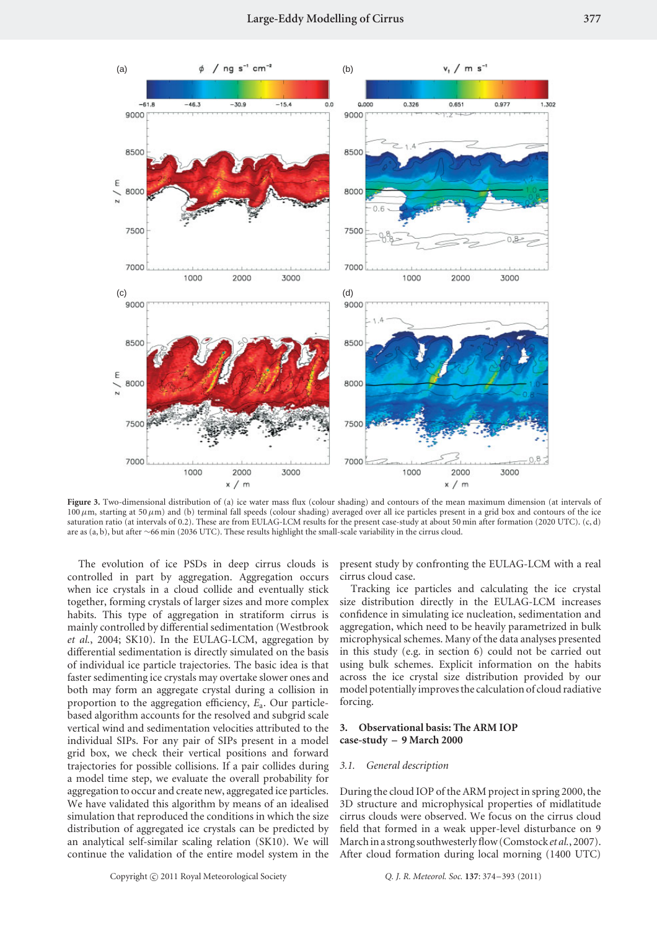

**Figure 3.** Two-dimensional distribution of (a) ice water mass flux (colour shading) and contours of the mean maximum dimension (at intervals of  $100 \,\mu$ m, starting at 50 $\mu$ m) and (b) terminal fall speeds (colour shading) averaged over all ice particles present in a grid box and contours of the ice saturation ratio (at intervals of 0.2). These are from EULAG-LCM results for the present case-study at about 50 min after formation (2020 UTC). (c, d) are as (a, b), but after ∼66 min (2036 UTC). These results highlight the small-scale variability in the cirrus cloud.

The evolution of ice PSDs in deep cirrus clouds is controlled in part by aggregation. Aggregation occurs when ice crystals in a cloud collide and eventually stick together, forming crystals of larger sizes and more complex habits. This type of aggregation in stratiform cirrus is mainly controlled by differential sedimentation (Westbrook *et al.*, 2004; SK10). In the EULAG-LCM, aggregation by differential sedimentation is directly simulated on the basis of individual ice particle trajectories. The basic idea is that faster sedimenting ice crystals may overtake slower ones and both may form an aggregate crystal during a collision in proportion to the aggregation efficiency, *E*a. Our particlebased algorithm accounts for the resolved and subgrid scale vertical wind and sedimentation velocities attributed to the individual SIPs. For any pair of SIPs present in a model grid box, we check their vertical positions and forward trajectories for possible collisions. If a pair collides during a model time step, we evaluate the overall probability for aggregation to occur and create new, aggregated ice particles. We have validated this algorithm by means of an idealised simulation that reproduced the conditions in which the size distribution of aggregated ice crystals can be predicted by an analytical self-similar scaling relation (SK10). We will continue the validation of the entire model system in the present study by confronting the EULAG-LCM with a real cirrus cloud case.

Tracking ice particles and calculating the ice crystal size distribution directly in the EULAG-LCM increases confidence in simulating ice nucleation, sedimentation and aggregation, which need to be heavily parametrized in bulk microphysical schemes. Many of the data analyses presented in this study (e.g. in section 6) could not be carried out using bulk schemes. Explicit information on the habits across the ice crystal size distribution provided by our model potentially improves the calculation of cloud radiative forcing.

## **3. Observational basis: The ARM IOP case-study – 9 March 2000**

#### *3.1. General description*

During the cloud IOP of the ARM project in spring 2000, the 3D structure and microphysical properties of midlatitude cirrus clouds were observed. We focus on the cirrus cloud field that formed in a weak upper-level disturbance on 9 March in a strong southwesterly flow (Comstock *et al.*, 2007). After cloud formation during local morning (1400 UTC)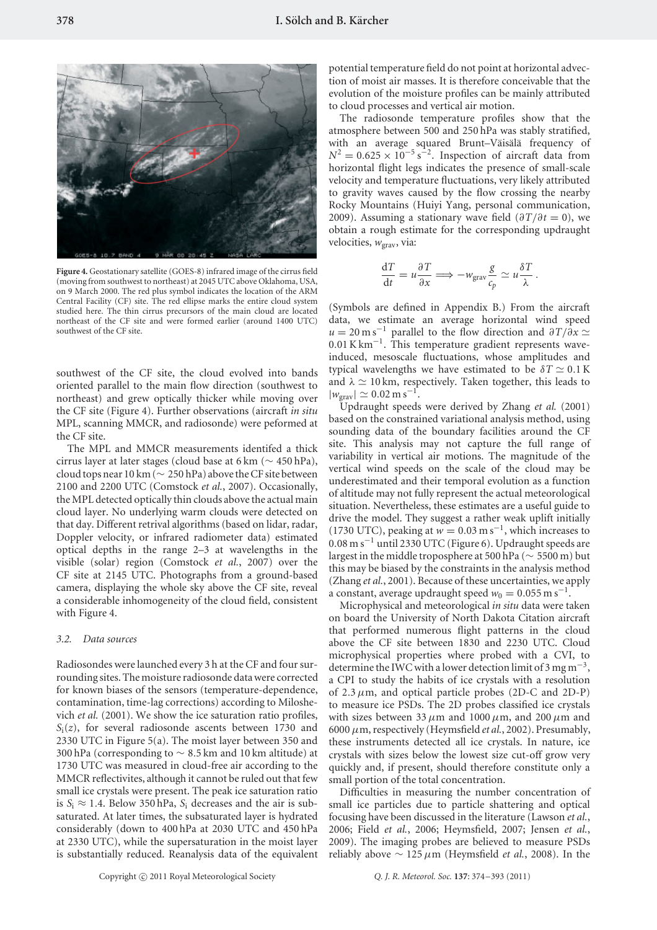

**Figure 4.** Geostationary satellite (GOES-8) infrared image of the cirrus field (moving from southwest to northeast) at 2045 UTC above Oklahoma, USA, on 9 March 2000. The red plus symbol indicates the location of the ARM Central Facility (CF) site. The red ellipse marks the entire cloud system studied here. The thin cirrus precursors of the main cloud are located northeast of the CF site and were formed earlier (around 1400 UTC) southwest of the CF site.

southwest of the CF site, the cloud evolved into bands oriented parallel to the main flow direction (southwest to northeast) and grew optically thicker while moving over the CF site (Figure 4). Further observations (aircraft *in situ* MPL, scanning MMCR, and radiosonde) were peformed at the CF site.

The MPL and MMCR measurements identifed a thick cirrus layer at later stages (cloud base at 6 km ( $\sim$  450 hPa), cloud tops near 10 km ( $\sim 250$  hPa) above the CF site between 2100 and 2200 UTC (Comstock *et al.*, 2007). Occasionally, the MPL detected optically thin clouds above the actual main cloud layer. No underlying warm clouds were detected on that day. Different retrival algorithms (based on lidar, radar, Doppler velocity, or infrared radiometer data) estimated optical depths in the range 2–3 at wavelengths in the visible (solar) region (Comstock *et al.*, 2007) over the CF site at 2145 UTC. Photographs from a ground-based camera, displaying the whole sky above the CF site, reveal a considerable inhomogeneity of the cloud field, consistent with Figure 4.

## *3.2. Data sources*

Radiosondes were launched every 3 h at the CF and four surrounding sites. The moisture radiosonde data were corrected for known biases of the sensors (temperature-dependence, contamination, time-lag corrections) according to Miloshevich *et al.* (2001). We show the ice saturation ratio profiles, *S*i(*z*), for several radiosonde ascents between 1730 and 2330 UTC in Figure 5(a). The moist layer between 350 and 300 hPa (corresponding to ∼ 8*.*5 km and 10 km altitude) at 1730 UTC was measured in cloud-free air according to the MMCR reflectivites, although it cannot be ruled out that few small ice crystals were present. The peak ice saturation ratio is  $S_i \approx 1.4$ . Below 350 hPa,  $S_i$  decreases and the air is subsaturated. At later times, the subsaturated layer is hydrated considerably (down to 400 hPa at 2030 UTC and 450 hPa at 2330 UTC), while the supersaturation in the moist layer is substantially reduced. Reanalysis data of the equivalent potential temperature field do not point at horizontal advection of moist air masses. It is therefore conceivable that the evolution of the moisture profiles can be mainly attributed to cloud processes and vertical air motion.

The radiosonde temperature profiles show that the atmosphere between 500 and 250 hPa was stably stratified, with an average squared Brunt–Väisälä frequency of  $N^2 = 0.625 \times 10^{-5} \text{ s}^{-2}$ . Inspection of aircraft data from horizontal flight legs indicates the presence of small-scale velocity and temperature fluctuations, very likely attributed to gravity waves caused by the flow crossing the nearby Rocky Mountains (Huiyi Yang, personal communication, 2009). Assuming a stationary wave field  $(\partial T/\partial t = 0)$ , we obtain a rough estimate for the corresponding updraught velocities,  $w_{\text{grav}}$ , via:

$$
\frac{\mathrm{d}T}{\mathrm{d}t} = u \frac{\partial T}{\partial x} \Longrightarrow -w_{\text{grav}} \frac{g}{c_p} \simeq u \frac{\delta T}{\lambda}.
$$

(Symbols are defined in Appendix B.) From the aircraft data, we estimate an average horizontal wind speed  $u = 20 \text{ m s}^{-1}$  parallel to the flow direction and  $\partial T / \partial x \simeq$ 0*.*01 K km−1. This temperature gradient represents waveinduced, mesoscale fluctuations, whose amplitudes and typical wavelengths we have estimated to be  $\delta T \simeq 0.1 \,\mathrm{K}$ and  $\lambda \simeq 10$  km, respectively. Taken together, this leads to  $|w_{\text{grav}}| \simeq 0.02 \text{ m s}^{-1}.$ 

Updraught speeds were derived by Zhang *et al.* (2001) based on the constrained variational analysis method, using sounding data of the boundary facilities around the CF site. This analysis may not capture the full range of variability in vertical air motions. The magnitude of the vertical wind speeds on the scale of the cloud may be underestimated and their temporal evolution as a function of altitude may not fully represent the actual meteorological situation. Nevertheless, these estimates are a useful guide to drive the model. They suggest a rather weak uplift initially (1730 UTC), peaking at  $w = 0.03$  m s<sup>-1</sup>, which increases to 0*.*08 m s−<sup>1</sup> until 2330 UTC (Figure 6). Updraught speeds are largest in the middle troposphere at 500 hPa (∼ 5500 m) but this may be biased by the constraints in the analysis method (Zhang *et al.*, 2001). Because of these uncertainties, we apply a constant, average updraught speed  $w_0 = 0.055 \text{ m s}^{-1}$ .

Microphysical and meteorological *in situ* data were taken on board the University of North Dakota Citation aircraft that performed numerous flight patterns in the cloud above the CF site between 1830 and 2230 UTC. Cloud microphysical properties where probed with a CVI, to determine the IWC with a lower detection limit of 3 mg m<sup>-3</sup>, a CPI to study the habits of ice crystals with a resolution of  $2.3 \mu$ m, and optical particle probes  $(2D-C \text{ and } 2D-P)$ to measure ice PSDs. The 2D probes classified ice crystals with sizes between 33  $\mu$ m and 1000  $\mu$ m, and 200  $\mu$ m and 6000*µ*m, respectively (Heymsfield *et al.*, 2002). Presumably, these instruments detected all ice crystals. In nature, ice crystals with sizes below the lowest size cut-off grow very quickly and, if present, should therefore constitute only a small portion of the total concentration.

Difficulties in measuring the number concentration of small ice particles due to particle shattering and optical focusing have been discussed in the literature (Lawson *et al.*, 2006; Field *et al.*, 2006; Heymsfield, 2007; Jensen *et al.*, 2009). The imaging probes are believed to measure PSDs reliably above ∼ 125*µ*m (Heymsfield *et al.*, 2008). In the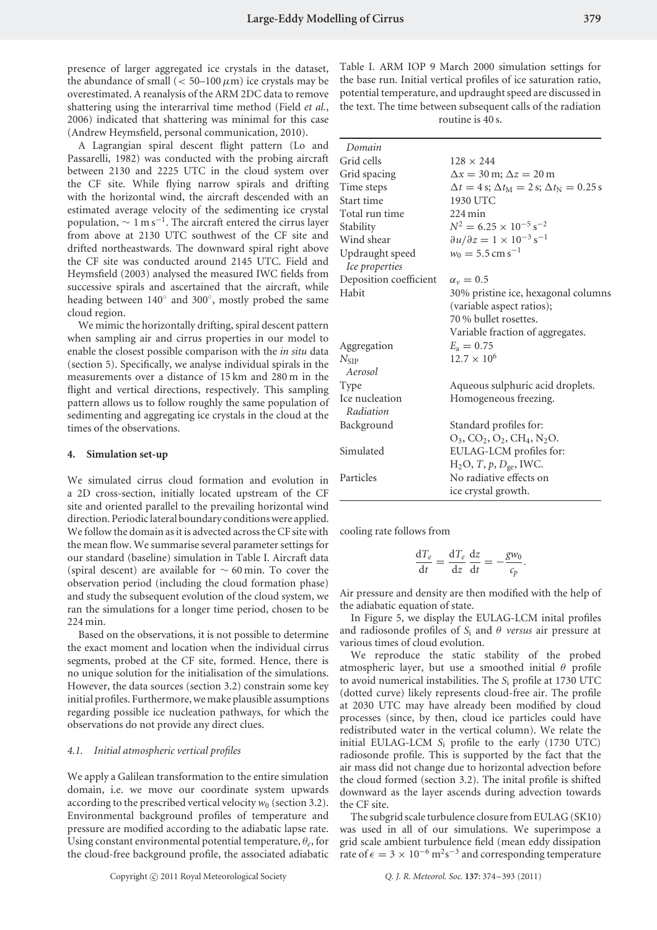presence of larger aggregated ice crystals in the dataset, the abundance of small  $( $50-100 \mu m$ )$  ice crystals may be overestimated. A reanalysis of the ARM 2DC data to remove shattering using the interarrival time method (Field *et al.*, 2006) indicated that shattering was minimal for this case (Andrew Heymsfield, personal communication, 2010).

A Lagrangian spiral descent flight pattern (Lo and Passarelli, 1982) was conducted with the probing aircraft between 2130 and 2225 UTC in the cloud system over the CF site. While flying narrow spirals and drifting with the horizontal wind, the aircraft descended with an estimated average velocity of the sedimenting ice crystal population,  $\sim 1 \text{ m s}^{-1}$ . The aircraft entered the cirrus layer from above at 2130 UTC southwest of the CF site and drifted northeastwards. The downward spiral right above the CF site was conducted around 2145 UTC. Field and Heymsfield (2003) analysed the measured IWC fields from successive spirals and ascertained that the aircraft, while heading between 140◦ and 300◦, mostly probed the same cloud region.

We mimic the horizontally drifting, spiral descent pattern when sampling air and cirrus properties in our model to enable the closest possible comparison with the *in situ* data (section 5). Specifically, we analyse individual spirals in the measurements over a distance of 15 km and 280 m in the flight and vertical directions, respectively. This sampling pattern allows us to follow roughly the same population of sedimenting and aggregating ice crystals in the cloud at the times of the observations.

#### **4. Simulation set-up**

We simulated cirrus cloud formation and evolution in a 2D cross-section, initially located upstream of the CF site and oriented parallel to the prevailing horizontal wind direction. Periodic lateral boundary conditions were applied. We follow the domain as it is advected across the CF site with the mean flow. We summarise several parameter settings for our standard (baseline) simulation in Table I. Aircraft data (spiral descent) are available for ∼ 60 min. To cover the observation period (including the cloud formation phase) and study the subsequent evolution of the cloud system, we ran the simulations for a longer time period, chosen to be 224 min.

Based on the observations, it is not possible to determine the exact moment and location when the individual cirrus segments, probed at the CF site, formed. Hence, there is no unique solution for the initialisation of the simulations. However, the data sources (section 3.2) constrain some key initial profiles. Furthermore, we make plausible assumptions regarding possible ice nucleation pathways, for which the observations do not provide any direct clues.

#### *4.1. Initial atmospheric vertical profiles*

We apply a Galilean transformation to the entire simulation domain, i.e. we move our coordinate system upwards according to the prescribed vertical velocity  $w_0$  (section 3.2). Environmental background profiles of temperature and pressure are modified according to the adiabatic lapse rate. Using constant environmental potential temperature, *θe*, for the cloud-free background profile, the associated adiabatic

Copyright (C) 2011 Royal Meteorological Society

Table I. ARM IOP 9 March 2000 simulation settings for the base run. Initial vertical profiles of ice saturation ratio, potential temperature, and updraught speed are discussed in the text. The time between subsequent calls of the radiation routine is 40 s.

| $128 \times 244$                                                        |
|-------------------------------------------------------------------------|
| $\Delta x = 30$ m; $\Delta z = 20$ m                                    |
| $\Delta t = 4$ s; $\Delta t_{\rm M} = 2$ s; $\Delta t_{\rm N} = 0.25$ s |
| 1930 UTC                                                                |
| $224 \,\mathrm{min}$                                                    |
| $N^2 = 6.25 \times 10^{-5}$ s <sup>-2</sup>                             |
| $\partial u/\partial z = 1 \times 10^{-3}$ s <sup>-1</sup>              |
| $w_0 = 5.5$ cm s <sup>-1</sup>                                          |
| $\alpha_v = 0.5$                                                        |
| 30% pristine ice, hexagonal columns                                     |
| (variable aspect ratios);                                               |
| 70 % bullet rosettes.                                                   |
| Variable fraction of aggregates.                                        |
| $E_a = 0.75$                                                            |
| $12.7 \times 10^6$                                                      |
| Aqueous sulphuric acid droplets.                                        |
| Homogeneous freezing.                                                   |
| Standard profiles for:                                                  |
| $O_3$ , $CO_2$ , $O_2$ , $CH_4$ , $N_2O$ .                              |
| EULAG-LCM profiles for:                                                 |
| $H_2O$ , T, p, $D_{ge}$ , IWC.                                          |
| No radiative effects on                                                 |
| ice crystal growth.                                                     |
|                                                                         |

cooling rate follows from

$$
\frac{\mathrm{d}T_e}{\mathrm{d}t} = \frac{\mathrm{d}T_e}{\mathrm{d}z}\frac{\mathrm{d}z}{\mathrm{d}t} = -\frac{gw_0}{c_p}.
$$

Air pressure and density are then modified with the help of the adiabatic equation of state.

In Figure 5, we display the EULAG-LCM inital profiles and radiosonde profiles of  $S_i$  and  $\theta$  *versus* air pressure at various times of cloud evolution.

We reproduce the static stability of the probed atmospheric layer, but use a smoothed initial *θ* profile to avoid numerical instabilities. The *S*<sup>i</sup> profile at 1730 UTC (dotted curve) likely represents cloud-free air. The profile at 2030 UTC may have already been modified by cloud processes (since, by then, cloud ice particles could have redistributed water in the vertical column). We relate the initial EULAG-LCM *S*<sup>i</sup> profile to the early (1730 UTC) radiosonde profile. This is supported by the fact that the air mass did not change due to horizontal advection before the cloud formed (section 3.2). The inital profile is shifted downward as the layer ascends during advection towards the CF site.

The subgrid scale turbulence closure from EULAG (SK10) was used in all of our simulations. We superimpose a grid scale ambient turbulence field (mean eddy dissipation rate of  $\epsilon = 3 \times 10^{-6} \,\mathrm{m}^2 \mathrm{s}^{-3}$  and corresponding temperature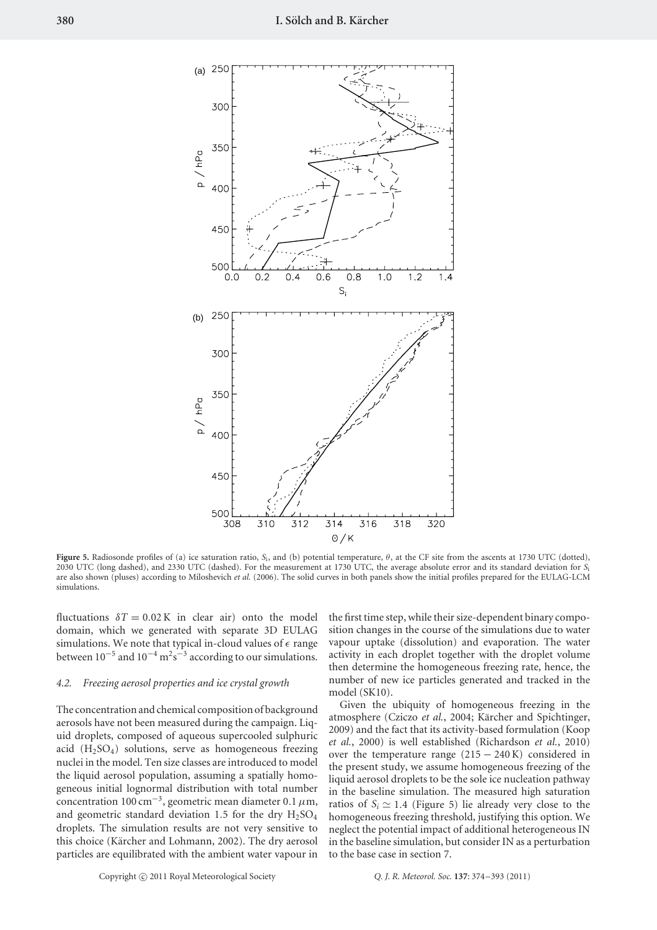

**Figure 5.** Radiosonde profiles of (a) ice saturation ratio, *S*i, and (b) potential temperature, *θ*, at the CF site from the ascents at 1730 UTC (dotted), 2030 UTC (long dashed), and 2330 UTC (dashed). For the measurement at 1730 UTC, the average absolute error and its standard deviation for *S*<sup>i</sup> are also shown (pluses) according to Miloshevich *et al.* (2006). The solid curves in both panels show the initial profiles prepared for the EULAG-LCM simulations.

fluctuations  $\delta T = 0.02 \text{ K}$  in clear air) onto the model domain, which we generated with separate 3D EULAG simulations. We note that typical in-cloud values of  $\epsilon$  range between  $10^{-5}$  and  $10^{-4}$  m<sup>2</sup>s<sup>-3</sup> according to our simulations.

#### *4.2. Freezing aerosol properties and ice crystal growth*

The concentration and chemical composition of background aerosols have not been measured during the campaign. Liquid droplets, composed of aqueous supercooled sulphuric acid  $(H<sub>2</sub>SO<sub>4</sub>)$  solutions, serve as homogeneous freezing nuclei in the model. Ten size classes are introduced to model the liquid aerosol population, assuming a spatially homogeneous initial lognormal distribution with total number concentration 100 cm−3, geometric mean diameter 0*.*1*µ*m, and geometric standard deviation 1.5 for the dry  $H<sub>2</sub>SO<sub>4</sub>$ droplets. The simulation results are not very sensitive to this choice (Kärcher and Lohmann, 2002). The dry aerosol particles are equilibrated with the ambient water vapour in

the first time step, while their size-dependent binary composition changes in the course of the simulations due to water vapour uptake (dissolution) and evaporation. The water activity in each droplet together with the droplet volume then determine the homogeneous freezing rate, hence, the number of new ice particles generated and tracked in the model (SK10).

Given the ubiquity of homogeneous freezing in the atmosphere (Cziczo et al., 2004; Kärcher and Spichtinger, 2009) and the fact that its activity-based formulation (Koop *et al.*, 2000) is well established (Richardson *et al.*, 2010) over the temperature range  $(215 - 240 \text{ K})$  considered in the present study, we assume homogeneous freezing of the liquid aerosol droplets to be the sole ice nucleation pathway in the baseline simulation. The measured high saturation ratios of  $S_i \simeq 1.4$  (Figure 5) lie already very close to the homogeneous freezing threshold, justifying this option. We neglect the potential impact of additional heterogeneous IN in the baseline simulation, but consider IN as a perturbation to the base case in section 7.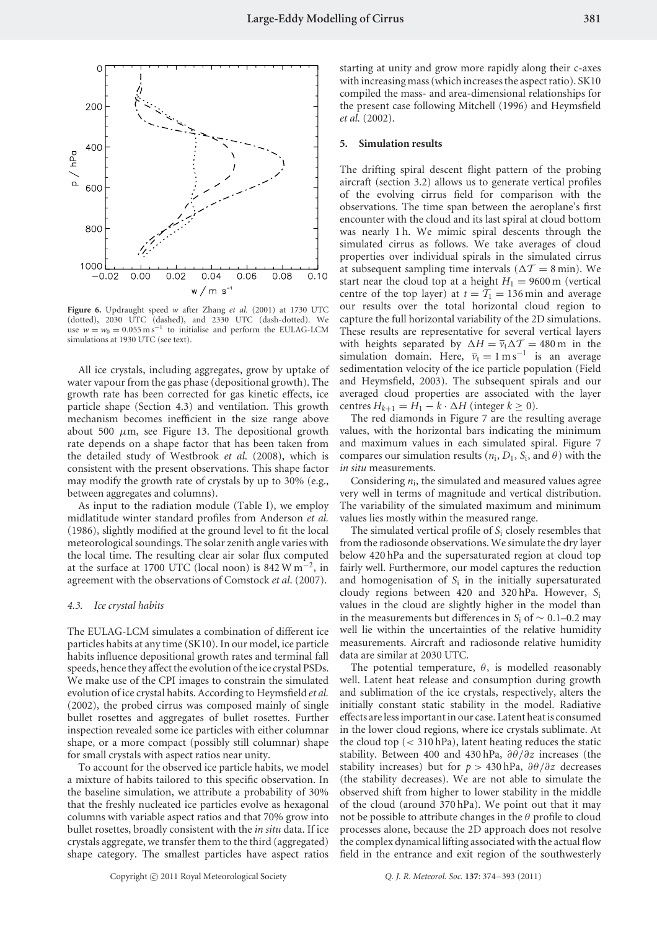

**Figure 6.** Updraught speed *w* after Zhang *et al.* (2001) at 1730 UTC (dotted), 2030 UTC (dashed), and 2330 UTC (dash-dotted). We use  $w = w_0 = 0.055 \text{ m s}^{-1}$  to initialise and perform the EULAG-LCM simulations at 1930 UTC (see text).

All ice crystals, including aggregates, grow by uptake of water vapour from the gas phase (depositional growth). The growth rate has been corrected for gas kinetic effects, ice particle shape (Section 4.3) and ventilation. This growth mechanism becomes inefficient in the size range above about 500  $\mu$ m, see Figure 13. The depositional growth rate depends on a shape factor that has been taken from the detailed study of Westbrook *et al*. (2008), which is consistent with the present observations. This shape factor may modify the growth rate of crystals by up to 30% (e.g., between aggregates and columns).

As input to the radiation module (Table I), we employ midlatitude winter standard profiles from Anderson *et al.* (1986), slightly modified at the ground level to fit the local meteorological soundings. The solar zenith angle varies with the local time. The resulting clear air solar flux computed at the surface at 1700 UTC (local noon) is 842 W m<sup>-2</sup>, in agreement with the observations of Comstock *et al*. (2007).

#### *4.3. Ice crystal habits*

The EULAG-LCM simulates a combination of different ice particles habits at any time (SK10). In our model, ice particle habits influence depositional growth rates and terminal fall speeds, hence they affect the evolution of the ice crystal PSDs. We make use of the CPI images to constrain the simulated evolution of ice crystal habits. According to Heymsfield *et al.* (2002), the probed cirrus was composed mainly of single bullet rosettes and aggregates of bullet rosettes. Further inspection revealed some ice particles with either columnar shape, or a more compact (possibly still columnar) shape for small crystals with aspect ratios near unity.

To account for the observed ice particle habits, we model a mixture of habits tailored to this specific observation. In the baseline simulation, we attribute a probability of 30% that the freshly nucleated ice particles evolve as hexagonal columns with variable aspect ratios and that 70% grow into bullet rosettes, broadly consistent with the *in situ* data. If ice crystals aggregate, we transfer them to the third (aggregated) shape category. The smallest particles have aspect ratios starting at unity and grow more rapidly along their c-axes with increasing mass (which increases the aspect ratio). SK10 compiled the mass- and area-dimensional relationships for the present case following Mitchell (1996) and Heymsfield *et al.* (2002).

#### **5. Simulation results**

The drifting spiral descent flight pattern of the probing aircraft (section 3.2) allows us to generate vertical profiles of the evolving cirrus field for comparison with the observations. The time span between the aeroplane's first encounter with the cloud and its last spiral at cloud bottom was nearly 1 h. We mimic spiral descents through the simulated cirrus as follows. We take averages of cloud properties over individual spirals in the simulated cirrus at subsequent sampling time intervals ( $\Delta T = 8$  min). We start near the cloud top at a height  $H_1 = 9600 \text{ m}$  (vertical centre of the top layer) at  $t = T_1 = 136$  min and average our results over the total horizontal cloud region to capture the full horizontal variability of the 2D simulations. These results are representative for several vertical layers with heights separated by  $\Delta H = \overline{v}_t \Delta T = 480 \text{ m}$  in the simulation domain. Here,  $\overline{v}_t = 1 \text{ m s}^{-1}$  is an average sedimentation velocity of the ice particle population (Field and Heymsfield, 2003). The subsequent spirals and our averaged cloud properties are associated with the layer centres  $H_{k+1} = H_1 - k \cdot \Delta H$  (integer  $k \ge 0$ ).

The red diamonds in Figure 7 are the resulting average values, with the horizontal bars indicating the minimum and maximum values in each simulated spiral. Figure 7 compares our simulation results ( $n_i$ ,  $D_1$ ,  $S_i$ , and  $\theta$ ) with the *in situ* measurements.

Considering  $n_i$ , the simulated and measured values agree very well in terms of magnitude and vertical distribution. The variability of the simulated maximum and minimum values lies mostly within the measured range.

The simulated vertical profile of *S*<sup>i</sup> closely resembles that from the radiosonde observations. We simulate the dry layer below 420 hPa and the supersaturated region at cloud top fairly well. Furthermore, our model captures the reduction and homogenisation of *S*<sup>i</sup> in the initially supersaturated cloudy regions between 420 and 320 hPa. However, *S*<sup>i</sup> values in the cloud are slightly higher in the model than in the measurements but differences in *S*<sup>i</sup> of ∼ 0*.*1–0.2 may well lie within the uncertainties of the relative humidity measurements. Aircraft and radiosonde relative humidity data are similar at 2030 UTC.

The potential temperature, *θ*, is modelled reasonably well. Latent heat release and consumption during growth and sublimation of the ice crystals, respectively, alters the initially constant static stability in the model. Radiative effects are less important in our case. Latent heat is consumed in the lower cloud regions, where ice crystals sublimate. At the cloud top (*<* 310 hPa), latent heating reduces the static stability. Between 400 and 430 hPa, *∂θ/∂z* increases (the stability increases) but for  $p > 430$  hPa,  $\partial \theta / \partial z$  decreases (the stability decreases). We are not able to simulate the observed shift from higher to lower stability in the middle of the cloud (around 370 hPa). We point out that it may not be possible to attribute changes in the *θ* profile to cloud processes alone, because the 2D approach does not resolve the complex dynamical lifting associated with the actual flow field in the entrance and exit region of the southwesterly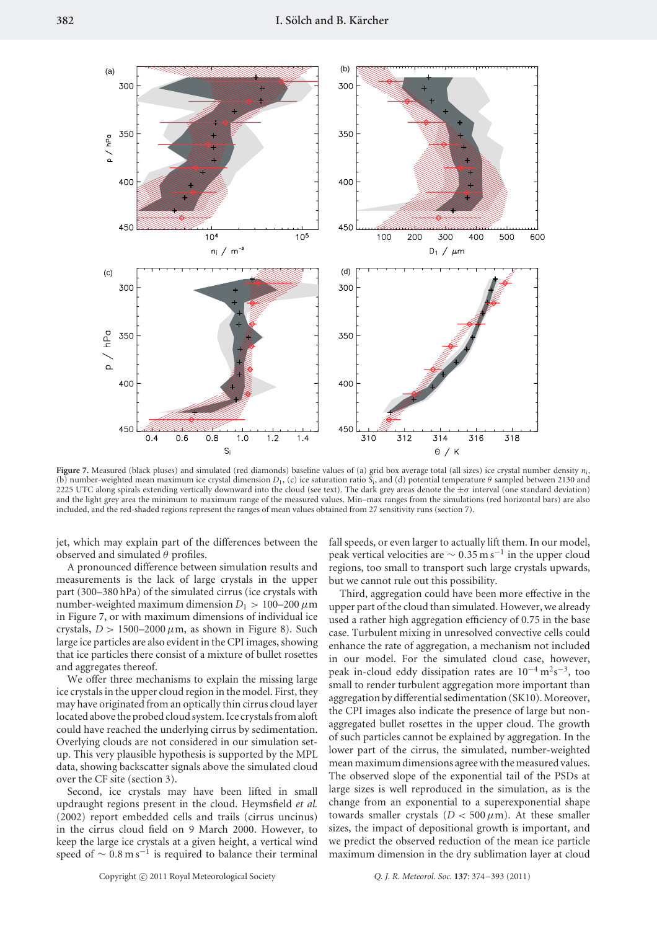

**Figure 7.** Measured (black pluses) and simulated (red diamonds) baseline values of (a) grid box average total (all sizes) ice crystal number density *n*i, (b) number-weighted mean maximum ice crystal dimension  $D_1$ , (c) ice saturation ratio  $S_i$ , and (d) potential temperature  $\theta$  sampled between 2130 and 2225 UTC along spirals extending vertically downward into the cloud (see text). The dark grey areas denote the ±*σ* interval (one standard deviation) and the light grey area the minimum to maximum range of the measured values. Min–max ranges from the simulations (red horizontal bars) are also included, and the red-shaded regions represent the ranges of mean values obtained from 27 sensitivity runs (section 7).

jet, which may explain part of the differences between the observed and simulated *θ* profiles.

A pronounced difference between simulation results and measurements is the lack of large crystals in the upper part (300–380 hPa) of the simulated cirrus (ice crystals with number-weighted maximum dimension  $D_1 > 100-200 \,\mu$ m in Figure 7, or with maximum dimensions of individual ice crystals,  $D > 1500-2000 \mu m$ , as shown in Figure 8). Such large ice particles are also evident in the CPI images, showing that ice particles there consist of a mixture of bullet rosettes and aggregates thereof.

We offer three mechanisms to explain the missing large ice crystals in the upper cloud region in the model. First, they may have originated from an optically thin cirrus cloud layer located above the probed cloud system. Ice crystals from aloft could have reached the underlying cirrus by sedimentation. Overlying clouds are not considered in our simulation setup. This very plausible hypothesis is supported by the MPL data, showing backscatter signals above the simulated cloud over the CF site (section 3).

Second, ice crystals may have been lifted in small updraught regions present in the cloud. Heymsfield *et al.* (2002) report embedded cells and trails (cirrus uncinus) in the cirrus cloud field on 9 March 2000. However, to keep the large ice crystals at a given height, a vertical wind speed of  $\sim 0.8 \text{ m s}^{-1}$  is required to balance their terminal

fall speeds, or even larger to actually lift them. In our model, peak vertical velocities are  $\sim 0.35 \,\mathrm{m\,s^{-1}}$  in the upper cloud regions, too small to transport such large crystals upwards, but we cannot rule out this possibility.

Third, aggregation could have been more effective in the upper part of the cloud than simulated. However, we already used a rather high aggregation efficiency of 0.75 in the base case. Turbulent mixing in unresolved convective cells could enhance the rate of aggregation, a mechanism not included in our model. For the simulated cloud case, however, peak in-cloud eddy dissipation rates are 10<sup>-4</sup> m<sup>2</sup>s<sup>-3</sup>, too small to render turbulent aggregation more important than aggregation by differential sedimentation (SK10). Moreover, the CPI images also indicate the presence of large but nonaggregated bullet rosettes in the upper cloud. The growth of such particles cannot be explained by aggregation. In the lower part of the cirrus, the simulated, number-weighted mean maximum dimensions agree with the measured values. The observed slope of the exponential tail of the PSDs at large sizes is well reproduced in the simulation, as is the change from an exponential to a superexponential shape towards smaller crystals  $(D < 500 \,\mu\text{m})$ . At these smaller sizes, the impact of depositional growth is important, and we predict the observed reduction of the mean ice particle maximum dimension in the dry sublimation layer at cloud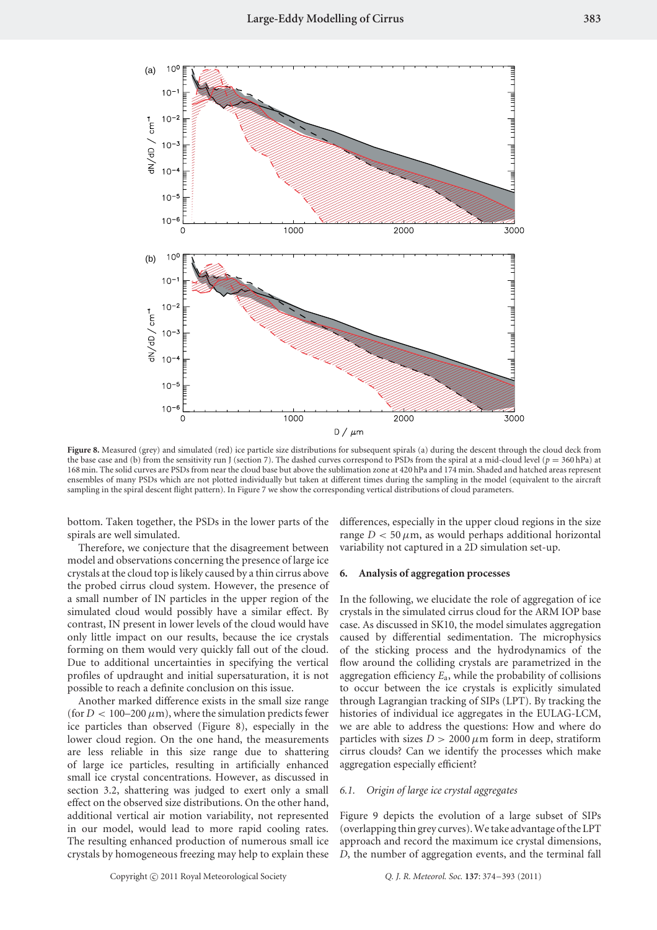

**Figure 8.** Measured (grey) and simulated (red) ice particle size distributions for subsequent spirals (a) during the descent through the cloud deck from the base case and (b) from the sensitivity run J (section 7). The dashed curves correspond to PSDs from the spiral at a mid-cloud level  $(p = 360 \text{ hPa})$  at 168 min. The solid curves are PSDs from near the cloud base but above the sublimation zone at 420 hPa and 174 min. Shaded and hatched areas represent ensembles of many PSDs which are not plotted individually but taken at different times during the sampling in the model (equivalent to the aircraft sampling in the spiral descent flight pattern). In Figure 7 we show the corresponding vertical distributions of cloud parameters.

bottom. Taken together, the PSDs in the lower parts of the spirals are well simulated.

Therefore, we conjecture that the disagreement between model and observations concerning the presence of large ice crystals at the cloud top is likely caused by a thin cirrus above the probed cirrus cloud system. However, the presence of a small number of IN particles in the upper region of the simulated cloud would possibly have a similar effect. By contrast, IN present in lower levels of the cloud would have only little impact on our results, because the ice crystals forming on them would very quickly fall out of the cloud. Due to additional uncertainties in specifying the vertical profiles of updraught and initial supersaturation, it is not possible to reach a definite conclusion on this issue.

Another marked difference exists in the small size range (for  $D < 100-200 \mu m$ ), where the simulation predicts fewer ice particles than observed (Figure 8), especially in the lower cloud region. On the one hand, the measurements are less reliable in this size range due to shattering of large ice particles, resulting in artificially enhanced small ice crystal concentrations. However, as discussed in section 3.2, shattering was judged to exert only a small effect on the observed size distributions. On the other hand, additional vertical air motion variability, not represented in our model, would lead to more rapid cooling rates. The resulting enhanced production of numerous small ice crystals by homogeneous freezing may help to explain these differences, especially in the upper cloud regions in the size range  $D < 50 \mu m$ , as would perhaps additional horizontal variability not captured in a 2D simulation set-up.

#### **6. Analysis of aggregation processes**

In the following, we elucidate the role of aggregation of ice crystals in the simulated cirrus cloud for the ARM IOP base case. As discussed in SK10, the model simulates aggregation caused by differential sedimentation. The microphysics of the sticking process and the hydrodynamics of the flow around the colliding crystals are parametrized in the aggregation efficiency *E*a, while the probability of collisions to occur between the ice crystals is explicitly simulated through Lagrangian tracking of SIPs (LPT). By tracking the histories of individual ice aggregates in the EULAG-LCM, we are able to address the questions: How and where do particles with sizes  $D > 2000 \mu m$  form in deep, stratiform cirrus clouds? Can we identify the processes which make aggregation especially efficient?

## *6.1. Origin of large ice crystal aggregates*

Figure 9 depicts the evolution of a large subset of SIPs (overlapping thin grey curves). We take advantage of the LPT approach and record the maximum ice crystal dimensions, *D*, the number of aggregation events, and the terminal fall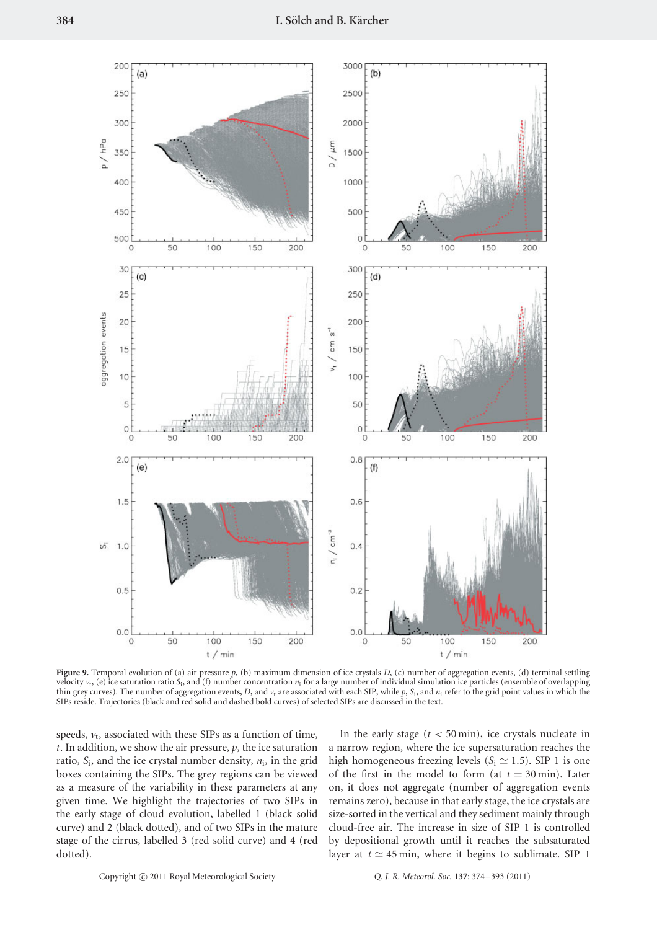

**Figure 9.** Temporal evolution of (a) air pressure  $p$ , (b) maximum dimension of ice crystals  $D$ , (c) number of aggregation events, (d) terminal settling velocity  $v_t$ , (e) ice saturation ratio  $S_t$ , and (f) number concentration  $n_i$  for a large number of individual simulation ice particles (ensemble of overlapping thin grey curves). The number of aggregation events, *D*, and  $v_t$  are associated with each SIP, while  $p$ ,  $S_i$ , and  $n_i$  refer to the grid point values in which the SIPs reside. Trajectories (black and red solid and dashed bold curves) of selected SIPs are discussed in the text.

speeds,  $v_t$ , associated with these SIPs as a function of time, *t*. In addition, we show the air pressure, *p*, the ice saturation ratio,  $S_i$ , and the ice crystal number density,  $n_i$ , in the grid boxes containing the SIPs. The grey regions can be viewed as a measure of the variability in these parameters at any given time. We highlight the trajectories of two SIPs in the early stage of cloud evolution, labelled 1 (black solid curve) and 2 (black dotted), and of two SIPs in the mature stage of the cirrus, labelled 3 (red solid curve) and 4 (red dotted).

In the early stage  $(t < 50 \text{ min})$ , ice crystals nucleate in a narrow region, where the ice supersaturation reaches the high homogeneous freezing levels ( $S_i \simeq 1.5$ ). SIP 1 is one of the first in the model to form (at  $t = 30$  min). Later on, it does not aggregate (number of aggregation events remains zero), because in that early stage, the ice crystals are size-sorted in the vertical and they sediment mainly through cloud-free air. The increase in size of SIP 1 is controlled by depositional growth until it reaches the subsaturated layer at  $t \approx 45$  min, where it begins to sublimate. SIP 1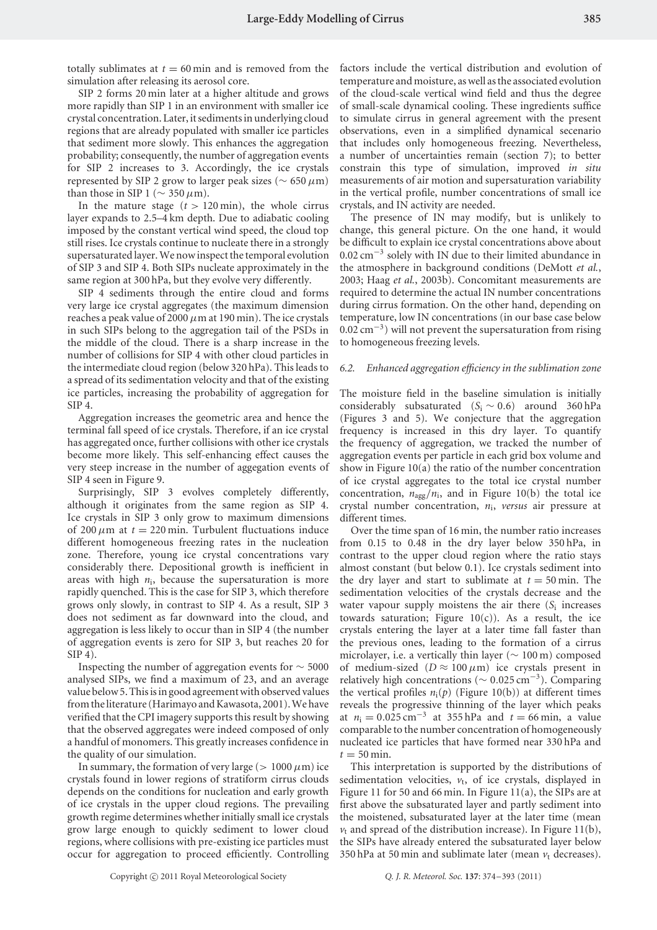totally sublimates at  $t = 60$  min and is removed from the simulation after releasing its aerosol core.

SIP 2 forms 20 min later at a higher altitude and grows more rapidly than SIP 1 in an environment with smaller ice crystal concentration. Later, it sediments in underlying cloud regions that are already populated with smaller ice particles that sediment more slowly. This enhances the aggregation probability; consequently, the number of aggregation events for SIP 2 increases to 3. Accordingly, the ice crystals represented by SIP 2 grow to larger peak sizes (∼ 650*µ*m) than those in SIP 1 ( $\sim$  350  $\mu$ m).

In the mature stage  $(t > 120 \text{ min})$ , the whole cirrus layer expands to 2.5–4 km depth. Due to adiabatic cooling imposed by the constant vertical wind speed, the cloud top still rises. Ice crystals continue to nucleate there in a strongly supersaturated layer. We now inspect the temporal evolution of SIP 3 and SIP 4. Both SIPs nucleate approximately in the same region at 300 hPa, but they evolve very differently.

SIP 4 sediments through the entire cloud and forms very large ice crystal aggregates (the maximum dimension reaches a peak value of 2000  $\mu$ m at 190 min). The ice crystals in such SIPs belong to the aggregation tail of the PSDs in the middle of the cloud. There is a sharp increase in the number of collisions for SIP 4 with other cloud particles in the intermediate cloud region (below 320 hPa). This leads to a spread of its sedimentation velocity and that of the existing ice particles, increasing the probability of aggregation for SIP 4.

Aggregation increases the geometric area and hence the terminal fall speed of ice crystals. Therefore, if an ice crystal has aggregated once, further collisions with other ice crystals become more likely. This self-enhancing effect causes the very steep increase in the number of aggegation events of SIP 4 seen in Figure 9.

Surprisingly, SIP 3 evolves completely differently, although it originates from the same region as SIP 4. Ice crystals in SIP 3 only grow to maximum dimensions of 200  $\mu$ m at  $t = 220$  min. Turbulent fluctuations induce different homogeneous freezing rates in the nucleation zone. Therefore, young ice crystal concentrations vary considerably there. Depositional growth is inefficient in areas with high *n*i, because the supersaturation is more rapidly quenched. This is the case for SIP 3, which therefore grows only slowly, in contrast to SIP 4. As a result, SIP 3 does not sediment as far downward into the cloud, and aggregation is less likely to occur than in SIP 4 (the number of aggregation events is zero for SIP 3, but reaches 20 for SIP 4).

Inspecting the number of aggregation events for ∼ 5000 analysed SIPs, we find a maximum of 23, and an average value below 5. This is in good agreement with observed values from the literature (Harimayo and Kawasota, 2001). We have verified that the CPI imagery supports this result by showing that the observed aggregates were indeed composed of only a handful of monomers. This greatly increases confidence in the quality of our simulation.

In summary, the formation of very large ( $> 1000 \mu m$ ) ice crystals found in lower regions of stratiform cirrus clouds depends on the conditions for nucleation and early growth of ice crystals in the upper cloud regions. The prevailing growth regime determines whether initially small ice crystals grow large enough to quickly sediment to lower cloud regions, where collisions with pre-existing ice particles must occur for aggregation to proceed efficiently. Controlling factors include the vertical distribution and evolution of temperature and moisture, as well as the associated evolution of the cloud-scale vertical wind field and thus the degree of small-scale dynamical cooling. These ingredients suffice to simulate cirrus in general agreement with the present observations, even in a simplified dynamical secenario that includes only homogeneous freezing. Nevertheless, a number of uncertainties remain (section 7); to better constrain this type of simulation, improved *in situ* measurements of air motion and supersaturation variability in the vertical profile, number concentrations of small ice crystals, and IN activity are needed.

The presence of IN may modify, but is unlikely to change, this general picture. On the one hand, it would be difficult to explain ice crystal concentrations above about 0.02 cm−<sup>3</sup> solely with IN due to their limited abundance in the atmosphere in background conditions (DeMott *et al.*, 2003; Haag *et al.*, 2003b). Concomitant measurements are required to determine the actual IN number concentrations during cirrus formation. On the other hand, depending on temperature, low IN concentrations (in our base case below  $0.02 \text{ cm}^{-3}$ ) will not prevent the supersaturation from rising to homogeneous freezing levels.

## *6.2. Enhanced aggregation efficiency in the sublimation zone*

The moisture field in the baseline simulation is initially considerably subsaturated  $(S_i \sim 0.6)$  around 360 hPa (Figures 3 and 5). We conjecture that the aggregation frequency is increased in this dry layer. To quantify the frequency of aggregation, we tracked the number of aggregation events per particle in each grid box volume and show in Figure 10(a) the ratio of the number concentration of ice crystal aggregates to the total ice crystal number concentration, *n*agg*/n*i, and in Figure 10(b) the total ice crystal number concentration, *n*i, *versus* air pressure at different times.

Over the time span of 16 min, the number ratio increases from 0.15 to 0.48 in the dry layer below 350 hPa, in contrast to the upper cloud region where the ratio stays almost constant (but below 0.1). Ice crystals sediment into the dry layer and start to sublimate at  $t = 50$  min. The sedimentation velocities of the crystals decrease and the water vapour supply moistens the air there (*S*<sup>i</sup> increases towards saturation; Figure  $10(c)$ ). As a result, the ice crystals entering the layer at a later time fall faster than the previous ones, leading to the formation of a cirrus microlayer, i.e. a vertically thin layer ( $\sim 100 \text{ m}$ ) composed of medium-sized ( $D \approx 100 \,\mu\text{m}$ ) ice crystals present in relatively high concentrations (<sup>∼</sup> <sup>0</sup>*.*025 cm−3). Comparing the vertical profiles  $n_i(p)$  (Figure 10(b)) at different times reveals the progressive thinning of the layer which peaks at  $n_i = 0.025 \text{ cm}^{-3}$  at 355 hPa and  $t = 66 \text{ min}$ , a value comparable to the number concentration of homogeneously nucleated ice particles that have formed near 330 hPa and  $t = 50$  min.

This interpretation is supported by the distributions of sedimentation velocities,  $v_t$ , of ice crystals, displayed in Figure 11 for 50 and 66 min. In Figure 11(a), the SIPs are at first above the subsaturated layer and partly sediment into the moistened, subsaturated layer at the later time (mean  $v_t$  and spread of the distribution increase). In Figure 11(b), the SIPs have already entered the subsaturated layer below 350 hPa at 50 min and sublimate later (mean  $v_t$  decreases).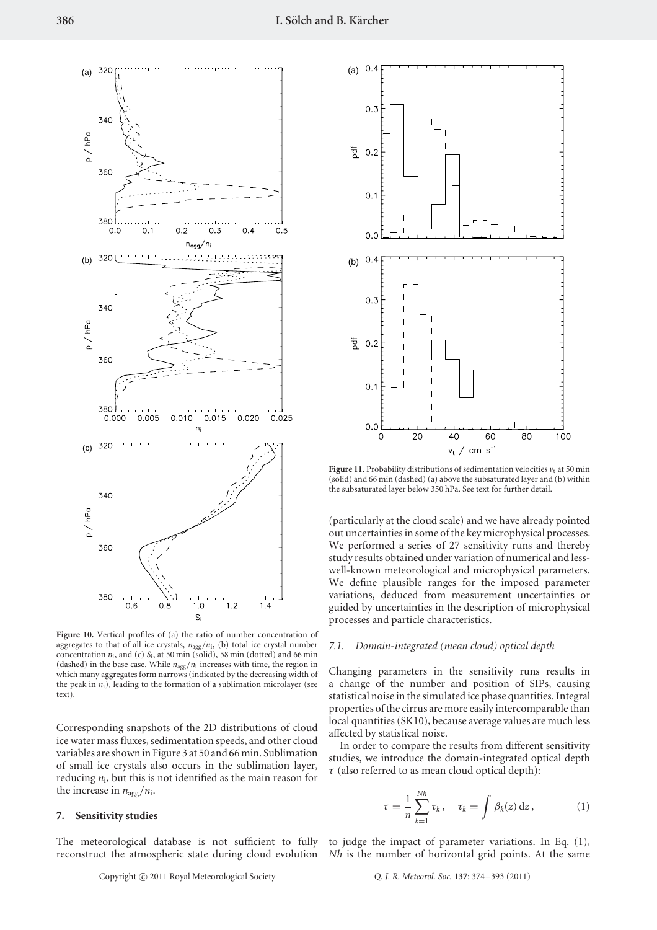

**Figure 10.** Vertical profiles of (a) the ratio of number concentration of aggregates to that of all ice crystals,  $n_{agg}/n_i$ , (b) total ice crystal number concentration  $n_i$ , and (c)  $S_i$ , at 50 min (solid), 58 min (dotted) and 66 min (dashed) in the base case. While  $n_{\text{agg}}/n_i$  increases with time, the region in which many aggregates form narrows (indicated by the decreasing width of the peak in  $n_i$ ), leading to the formation of a sublimation microlayer (see text).

Corresponding snapshots of the 2D distributions of cloud ice water mass fluxes, sedimentation speeds, and other cloud variables are shown in Figure 3 at 50 and 66 min. Sublimation of small ice crystals also occurs in the sublimation layer, reducing  $n_i$ , but this is not identified as the main reason for the increase in  $n_{\text{agg}}/n_i$ .

#### **7. Sensitivity studies**

The meteorological database is not sufficient to fully to judge the impact of parameter variations. In Eq. (1), reconstruct the atmospheric state during cloud evolution *Nh* is the number of horizontal grid points. At the same



**Figure 11.** Probability distributions of sedimentation velocities  $v_t$  at 50 min (solid) and 66 min (dashed) (a) above the subsaturated layer and (b) within the subsaturated layer below 350 hPa. See text for further detail.

(particularly at the cloud scale) and we have already pointed out uncertainties in some of the key microphysical processes. We performed a series of 27 sensitivity runs and thereby study results obtained under variation of numerical and lesswell-known meteorological and microphysical parameters. We define plausible ranges for the imposed parameter variations, deduced from measurement uncertainties or guided by uncertainties in the description of microphysical processes and particle characteristics.

#### *7.1. Domain-integrated (mean cloud) optical depth*

Changing parameters in the sensitivity runs results in a change of the number and position of SIPs, causing statistical noise in the simulated ice phase quantities. Integral properties of the cirrus are more easily intercomparable than local quantities (SK10), because average values are much less affected by statistical noise.

In order to compare the results from different sensitivity studies, we introduce the domain-integrated optical depth  $\overline{\tau}$  (also referred to as mean cloud optical depth):

$$
\overline{\tau} = \frac{1}{n} \sum_{k=1}^{Nh} \tau_k, \quad \tau_k = \int \beta_k(z) \, dz, \tag{1}
$$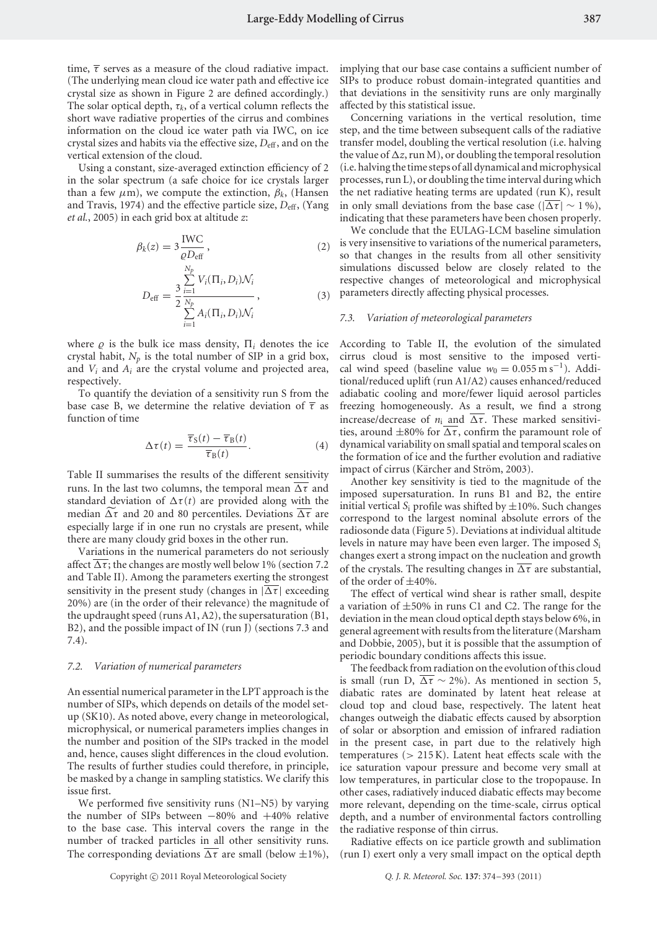time,  $\bar{\tau}$  serves as a measure of the cloud radiative impact. (The underlying mean cloud ice water path and effective ice crystal size as shown in Figure 2 are defined accordingly.) The solar optical depth,  $\tau_k$ , of a vertical column reflects the short wave radiative properties of the cirrus and combines information on the cloud ice water path via IWC, on ice crystal sizes and habits via the effective size,  $D_{\text{eff}}$ , and on the vertical extension of the cloud.

Using a constant, size-averaged extinction efficiency of 2 in the solar spectrum (a safe choice for ice crystals larger than a few  $\mu$ m), we compute the extinction,  $\beta_k$ , (Hansen and Travis, 1974) and the effective particle size,  $D_{\text{eff}}$ , (Yang *et al.*, 2005) in each grid box at altitude *z*:

$$
\beta_k(z) = 3 \frac{\text{IWC}}{\varrho D_{\text{eff}}},\tag{2}
$$

$$
D_{\text{eff}} = \frac{3}{2} \frac{\sum_{i=1}^{N_p} V_i(\Pi_i, D_i) \mathcal{N}_i}{\sum_{i=1}^{N_p} A_i(\Pi_i, D_i) \mathcal{N}_i},
$$
(3)

where  $\rho$  is the bulk ice mass density,  $\Pi_i$  denotes the ice crystal habit,  $N_p$  is the total number of SIP in a grid box, and *Vi* and *Ai* are the crystal volume and projected area, respectively.

To quantify the deviation of a sensitivity run S from the base case B, we determine the relative deviation of  $\bar{\tau}$  as function of time

$$
\Delta \tau(t) = \frac{\overline{\tau}_{\rm S}(t) - \overline{\tau}_{\rm B}(t)}{\overline{\tau}_{\rm B}(t)}.
$$
\n(4)

Table II summarises the results of the different sensitivity runs. In the last two columns, the temporal mean  $\overline{\Delta \tau}$  and standard deviation of  $\Delta \tau(t)$  are provided along with the median  $\Delta \tau$  and 20 and 80 percentiles. Deviations  $\overline{\Delta \tau}$  are especially large if in one run no crystals are present, while there are many cloudy grid boxes in the other run.

Variations in the numerical parameters do not seriously affect  $\overline{\Delta \tau}$ ; the changes are mostly well below 1% (section 7.2) and Table II). Among the parameters exerting the strongest sensitivity in the present study (changes in  $|\Delta \tau|$  exceeding 20%) are (in the order of their relevance) the magnitude of the updraught speed (runs A1, A2), the supersaturation (B1, B2), and the possible impact of IN (run J) (sections 7.3 and 7.4).

#### *7.2. Variation of numerical parameters*

An essential numerical parameter in the LPT approach is the number of SIPs, which depends on details of the model setup (SK10). As noted above, every change in meteorological, microphysical, or numerical parameters implies changes in the number and position of the SIPs tracked in the model and, hence, causes slight differences in the cloud evolution. The results of further studies could therefore, in principle, be masked by a change in sampling statistics. We clarify this issue first.

We performed five sensitivity runs (N1–N5) by varying the number of SIPs between −80% and +40% relative to the base case. This interval covers the range in the number of tracked particles in all other sensitivity runs. The corresponding deviations  $\overline{\Delta \tau}$  are small (below  $\pm 1\%$ ), implying that our base case contains a sufficient number of SIPs to produce robust domain-integrated quantities and that deviations in the sensitivity runs are only marginally affected by this statistical issue.

Concerning variations in the vertical resolution, time step, and the time between subsequent calls of the radiative transfer model, doubling the vertical resolution (i.e. halving the value of  $\Delta z$ , run M), or doubling the temporal resolution (i.e. halving the time steps of all dynamical and microphysical processes, run L), or doubling the time interval during which the net radiative heating terms are updated (run K), result in only small deviations from the base case ( $|\Delta \tau| \sim 1\%$ ), indicating that these parameters have been chosen properly.

We conclude that the EULAG-LCM baseline simulation is very insensitive to variations of the numerical parameters, so that changes in the results from all other sensitivity simulations discussed below are closely related to the respective changes of meteorological and microphysical parameters directly affecting physical processes.

#### *7.3. Variation of meteorological parameters*

According to Table II, the evolution of the simulated cirrus cloud is most sensitive to the imposed vertical wind speed (baseline value  $w_0 = 0.055 \text{ m s}^{-1}$ ). Additional/reduced uplift (run A1/A2) causes enhanced/reduced adiabatic cooling and more/fewer liquid aerosol particles freezing homogeneously. As a result, we find a strong increase/decrease of  $n_i$  and  $\overline{\Delta \tau}$ . These marked sensitivities, around  $\pm 80\%$  for  $\overline{\Delta \tau}$ , confirm the paramount role of dynamical variability on small spatial and temporal scales on the formation of ice and the further evolution and radiative impact of cirrus (Kärcher and Ström, 2003).

Another key sensitivity is tied to the magnitude of the imposed supersaturation. In runs B1 and B2, the entire initial vertical  $S_i$  profile was shifted by  $\pm 10\%$ . Such changes correspond to the largest nominal absolute errors of the radiosonde data (Figure 5). Deviations at individual altitude levels in nature may have been even larger. The imposed *S*<sup>i</sup> changes exert a strong impact on the nucleation and growth of the crystals. The resulting changes in  $\overline{\Delta \tau}$  are substantial, of the order of  $\pm 40\%$ .

The effect of vertical wind shear is rather small, despite a variation of  $\pm 50\%$  in runs C1 and C2. The range for the deviation in the mean cloud optical depth stays below 6%, in general agreement with results from the literature (Marsham and Dobbie, 2005), but it is possible that the assumption of periodic boundary conditions affects this issue.

The feedback from radiation on the evolution of this cloud is small (run D,  $\overline{\Delta \tau} \sim 2\%$ ). As mentioned in section 5, diabatic rates are dominated by latent heat release at cloud top and cloud base, respectively. The latent heat changes outweigh the diabatic effects caused by absorption of solar or absorption and emission of infrared radiation in the present case, in part due to the relatively high temperatures (*>* 215 K). Latent heat effects scale with the ice saturation vapour pressure and become very small at low temperatures, in particular close to the tropopause. In other cases, radiatively induced diabatic effects may become more relevant, depending on the time-scale, cirrus optical depth, and a number of environmental factors controlling the radiative response of thin cirrus.

Radiative effects on ice particle growth and sublimation (run I) exert only a very small impact on the optical depth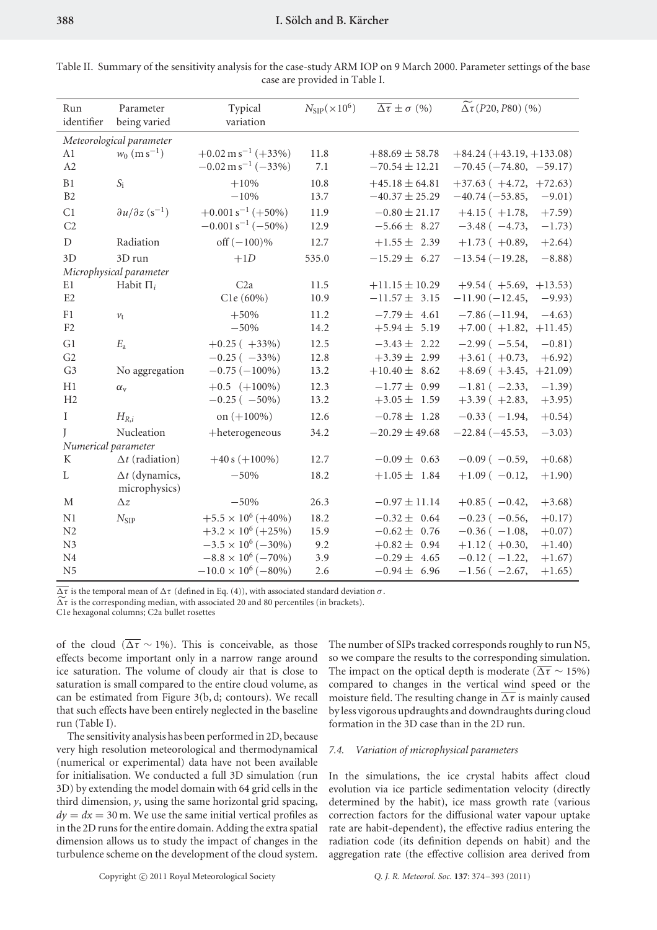| 900 |                      |
|-----|----------------------|
|     | Table II. Summary of |

| Run<br>identifier   | Parameter<br>being varied                          | Typical<br>variation            | $N_{\rm SIP}(\times 10^6)$ | $\overline{\Delta \tau} \pm \sigma$ (%) | $\Delta \tau$ (P20, P80) (%)    |           |
|---------------------|----------------------------------------------------|---------------------------------|----------------------------|-----------------------------------------|---------------------------------|-----------|
|                     | Meteorological parameter                           |                                 |                            |                                         |                                 |           |
| A1                  | $w_0$ (m s <sup>-1</sup> )                         | $+0.02 \text{ m s}^{-1}$ (+33%) | 11.8                       | $+88.69 \pm 58.78$                      | $+84.24 (+43.19, +133.08)$      |           |
| A2                  |                                                    | $-0.02 \text{ m s}^{-1}$ (-33%) | 7.1                        | $-70.54 \pm 12.21$                      | $-70.45(-74.80, -59.17)$        |           |
| $\rm B1$            | $S_{\rm i}$                                        | $+10%$                          | 10.8                       | $+45.18 \pm 64.81$                      | $+37.63$ ( $+4.72$ , $+72.63$ ) |           |
| B <sub>2</sub>      |                                                    | $-10%$                          | 13.7                       | $-40.37 \pm 25.29$                      | $-40.74(-53.85,$                | $-9.01)$  |
| C1                  | $\frac{\partial u}{\partial z}$ (s <sup>-1</sup> ) | $+0.001 s^{-1}$ (+50%)          | 11.9                       | $-0.80 \pm 21.17$                       | $+4.15(+1.78,$                  | $+7.59$ ) |
| C <sub>2</sub>      |                                                    | $-0.001 s^{-1} (-50\%)$         | 12.9                       | $-5.66 \pm 8.27$                        | $-3.48$ ( $-4.73$ )             | $-1.73)$  |
| $\mathbf D$         | Radiation                                          | off $(-100)\%$                  | 12.7                       | $+1.55 \pm 2.39$                        | $+1.73(+0.89,$                  | $+2.64)$  |
| 3D                  | 3D run                                             | $+1D$                           | 535.0                      | $-15.29 \pm 6.27$                       | $-13.54(-19.28,$                | $-8.88$ ) |
|                     | Microphysical parameter                            |                                 |                            |                                         |                                 |           |
| E1                  | Habit $\Pi_i$                                      | C <sub>2a</sub>                 | 11.5                       | $+11.15 \pm 10.29$                      | $+9.54$ ( $+5.69$ , $+13.53$ )  |           |
| E2                  |                                                    | C1e (60%)                       | 10.9                       | $-11.57 \pm 3.15$                       | $-11.90(-12.45,$                | $-9.93)$  |
| F1                  | $v_{t}$                                            | $+50%$                          | 11.2                       | $-7.79 \pm 4.61$                        | $-7.86(-11.94,$                 | $-4.63)$  |
| F2                  |                                                    | $-50%$                          | 14.2                       | $+5.94 \pm 5.19$                        | $+7.00(+1.82,$                  | $+11.45)$ |
| G1                  | $E_{\rm a}$                                        | $+0.25 (+33\%)$                 | 12.5                       | $-3.43 \pm 2.22$                        | $-2.99(-5.54,$                  | $-0.81)$  |
| G2                  |                                                    | $-0.25(-33%)$                   | 12.8                       | $+3.39 \pm 2.99$                        | $+3.61(+0.73,$                  | $+6.92)$  |
| G <sub>3</sub>      | No aggregation                                     | $-0.75(-100\%)$                 | 13.2                       | $+10.40 \pm 8.62$                       | $+8.69(+3.45,$                  | $+21.09)$ |
| H1                  | $\alpha_{\rm v}$                                   | $+0.5$ ( $+100\%$ )             | 12.3                       | $-1.77 \pm 0.99$                        | $-1.81$ ( $-2.33$ )             | $-1.39)$  |
| H <sub>2</sub>      |                                                    | $-0.25(-50\%)$                  | 13.2                       | $+3.05 \pm 1.59$                        | $+3.39(+2.83,$                  | $+3.95)$  |
| $\rm I$             | $H_{R,i}$                                          | on $(+100\%)$                   | 12.6                       | $-0.78 \pm 1.28$                        | $-0.33(-1.94,$                  | $+0.54)$  |
| I                   | Nucleation                                         | +heterogeneous                  | 34.2                       | $-20.29 \pm 49.68$                      | $-22.84(-45.53,$                | $-3.03)$  |
| Numerical parameter |                                                    |                                 |                            |                                         |                                 |           |
| K                   | $\Delta t$ (radiation)                             | $+40 s (+100\%)$                | 12.7                       | $-0.09 \pm 0.63$                        | $-0.09$ ( $-0.59$ )             | $+0.68)$  |
| L                   | $\Delta t$ (dynamics,<br>microphysics)             | $-50%$                          | 18.2                       | $+1.05 \pm 1.84$                        | $+1.09(-0.12,$                  | $+1.90)$  |
| $\mathbf M$         | $\Delta z$                                         | $-50%$                          | 26.3                       | $-0.97 \pm 11.14$                       | $+0.85(-0.42,$                  | $+3.68)$  |
| N1                  | $N_{\rm SIP}$                                      | $+5.5 \times 10^6 (+40\%)$      | 18.2                       | $-0.32 \pm 0.64$                        | $-0.23$ ( $-0.56$ )             | $+0.17)$  |
| N2                  |                                                    | $+3.2 \times 10^6$ (+25%)       | 15.9                       | $-0.62 \pm 0.76$                        | $-0.36$ ( $-1.08$ )             | $+0.07)$  |
| N3                  |                                                    | $-3.5 \times 10^6$ ( $-30\%$ )  | 9.2                        | $+0.82 \pm 0.94$                        | $+1.12$ ( $+0.30$ ,             | $+1.40)$  |
| N <sub>4</sub>      |                                                    | $-8.8 \times 10^6$ ( $-70\%$ )  | 3.9                        | $-0.29 \pm 4.65$                        | $-0.12$ ( $-1.22$ ,             | $+1.67)$  |
| N <sub>5</sub>      |                                                    | $-10.0 \times 10^6$ (-80%)      | 2.6                        | $-0.94 \pm 6.96$                        | $-1.56$ ( $-2.67$ ,             | $+1.65)$  |

the sensitivity analysis for the case-study ARM IOP on 9 March 2000. Parameter settings of the base case are provided in Table I.

 $\overline{\Delta \tau}$  is the temporal mean of  $\Delta \tau$  (defined in Eq. (4)), with associated standard deviation  $\sigma$ .

 $\widetilde{\Delta \tau}$  is the corresponding median, with associated 20 and 80 percentiles (in brackets).

C1e hexagonal columns; C2a bullet rosettes

of the cloud ( $\overline{\Delta \tau} \sim 1\%$ ). This is conceivable, as those effects become important only in a narrow range around ice saturation. The volume of cloudy air that is close to saturation is small compared to the entire cloud volume, as can be estimated from Figure 3(b, d; contours). We recall that such effects have been entirely neglected in the baseline run (Table I).

The sensitivity analysis has been performed in 2D, because very high resolution meteorological and thermodynamical (numerical or experimental) data have not been available for initialisation. We conducted a full 3D simulation (run 3D) by extending the model domain with 64 grid cells in the third dimension, *y*, using the same horizontal grid spacing,  $dy = dx = 30$  m. We use the same initial vertical profiles as in the 2D runs for the entire domain. Adding the extra spatial dimension allows us to study the impact of changes in the turbulence scheme on the development of the cloud system. The number of SIPs tracked corresponds roughly to run N5, so we compare the results to the corresponding simulation. The impact on the optical depth is moderate ( $\overline{\Delta \tau} \sim 15\%$ ) compared to changes in the vertical wind speed or the moisture field. The resulting change in  $\overline{\Delta \tau}$  is mainly caused by less vigorous updraughts and downdraughts during cloud formation in the 3D case than in the 2D run.

# *7.4. Variation of microphysical parameters*

In the simulations, the ice crystal habits affect cloud evolution via ice particle sedimentation velocity (directly determined by the habit), ice mass growth rate (various correction factors for the diffusional water vapour uptake rate are habit-dependent), the effective radius entering the radiation code (its definition depends on habit) and the aggregation rate (the effective collision area derived from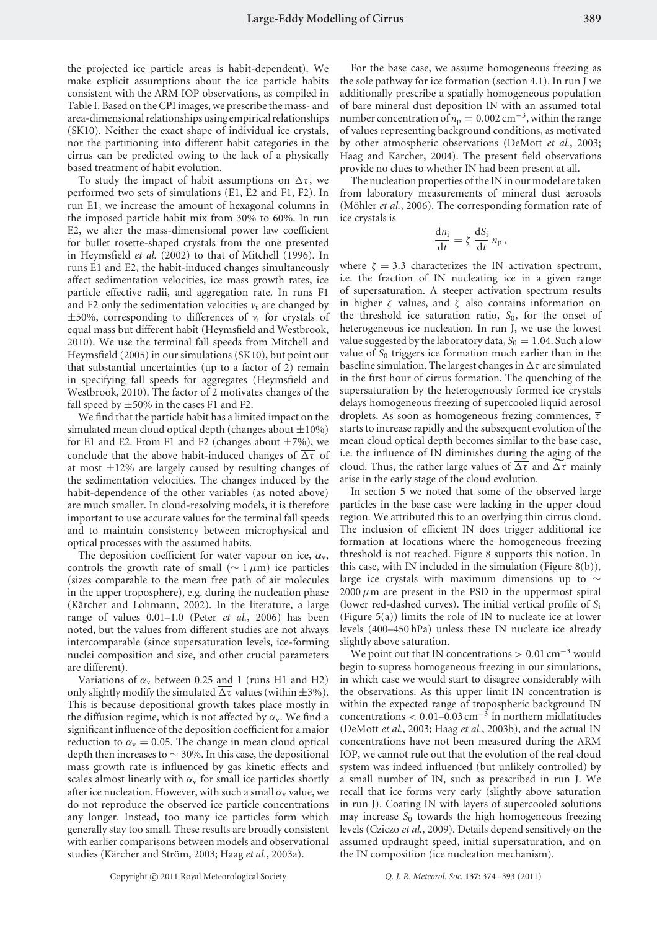the projected ice particle areas is habit-dependent). We make explicit assumptions about the ice particle habits consistent with the ARM IOP observations, as compiled in Table I. Based on the CPI images, we prescribe the mass- and area-dimensional relationships using empirical relationships (SK10). Neither the exact shape of individual ice crystals, nor the partitioning into different habit categories in the cirrus can be predicted owing to the lack of a physically based treatment of habit evolution.

To study the impact of habit assumptions on  $\overline{\Delta \tau}$ , we performed two sets of simulations (E1, E2 and F1, F2). In run E1, we increase the amount of hexagonal columns in the imposed particle habit mix from 30% to 60%. In run E2, we alter the mass-dimensional power law coefficient for bullet rosette-shaped crystals from the one presented in Heymsfield *et al.* (2002) to that of Mitchell (1996). In runs E1 and E2, the habit-induced changes simultaneously affect sedimentation velocities, ice mass growth rates, ice particle effective radii, and aggregation rate. In runs F1 and F2 only the sedimentation velocities  $v_t$  are changed by  $\pm 50\%$ , corresponding to differences of  $v_t$  for crystals of equal mass but different habit (Heymsfield and Westbrook, 2010). We use the terminal fall speeds from Mitchell and Heymsfield (2005) in our simulations (SK10), but point out that substantial uncertainties (up to a factor of 2) remain in specifying fall speeds for aggregates (Heymsfield and Westbrook, 2010). The factor of 2 motivates changes of the fall speed by  $\pm 50\%$  in the cases F1 and F2.

We find that the particle habit has a limited impact on the simulated mean cloud optical depth (changes about  $\pm 10\%$ ) for E1 and E2. From F1 and F2 (changes about  $\pm$ 7%), we conclude that the above habit-induced changes of  $\overline{\Delta \tau}$  of at most  $\pm 12\%$  are largely caused by resulting changes of the sedimentation velocities. The changes induced by the habit-dependence of the other variables (as noted above) are much smaller. In cloud-resolving models, it is therefore important to use accurate values for the terminal fall speeds and to maintain consistency between microphysical and optical processes with the assumed habits.

The deposition coefficient for water vapour on ice, *α*v, controls the growth rate of small (∼ 1*µ*m) ice particles (sizes comparable to the mean free path of air molecules in the upper troposphere), e.g. during the nucleation phase (Kärcher and Lohmann, 2002). In the literature, a large range of values 0.01–1.0 (Peter *et al.*, 2006) has been noted, but the values from different studies are not always intercomparable (since supersaturation levels, ice-forming nuclei composition and size, and other crucial parameters are different).

Variations of  $\alpha$ <sub>v</sub> between 0.25 and 1 (runs H1 and H2) only slightly modify the simulated  $\Delta \tau$  values (within  $\pm 3\%$ ). This is because depositional growth takes place mostly in the diffusion regime, which is not affected by  $\alpha_{v}$ . We find a significant influence of the deposition coefficient for a major reduction to  $\alpha$ <sub>v</sub> = 0.05. The change in mean cloud optical depth then increases to  $\sim$  30%. In this case, the depositional mass growth rate is influenced by gas kinetic effects and scales almost linearly with  $\alpha$ <sub>v</sub> for small ice particles shortly after ice nucleation. However, with such a small  $\alpha$ <sub>v</sub> value, we do not reproduce the observed ice particle concentrations any longer. Instead, too many ice particles form which generally stay too small. These results are broadly consistent with earlier comparisons between models and observational studies (Kärcher and Ström, 2003; Haag et al., 2003a).

For the base case, we assume homogeneous freezing as the sole pathway for ice formation (section 4.1). In run J we additionally prescribe a spatially homogeneous population of bare mineral dust deposition IN with an assumed total number concentration of  $n_p = 0.002$  cm<sup>-3</sup>, within the range of values representing background conditions, as motivated by other atmospheric observations (DeMott *et al.*, 2003; Haag and Kärcher, 2004). The present field observations provide no clues to whether IN had been present at all.

The nucleation properties of the IN in our model are taken from laboratory measurements of mineral dust aerosols (Möhler *et al.*, 2006). The corresponding formation rate of ice crystals is

$$
\frac{\mathrm{d}n_{\rm i}}{\mathrm{d}t} = \zeta \, \frac{\mathrm{d}S_{\rm i}}{\mathrm{d}t} \, n_{\rm p} \,,
$$

where  $\zeta = 3.3$  characterizes the IN activation spectrum, i.e. the fraction of IN nucleating ice in a given range of supersaturation. A steeper activation spectrum results in higher *ζ* values, and *ζ* also contains information on the threshold ice saturation ratio,  $S_0$ , for the onset of heterogeneous ice nucleation. In run J, we use the lowest value suggested by the laboratory data,  $S_0 = 1.04$ . Such a low value of  $S_0$  triggers ice formation much earlier than in the baseline simulation. The largest changes in  $\Delta \tau$  are simulated in the first hour of cirrus formation. The quenching of the supersaturation by the heterogenously formed ice crystals delays homogeneous freezing of supercooled liquid aerosol droplets. As soon as homogeneous frezing commences, *τ* starts to increase rapidly and the subsequent evolution of the mean cloud optical depth becomes similar to the base case, i.e. the influence of IN diminishes during the aging of the cloud. Thus, the rather large values of  $\overline{\Delta \tau}$  and  $\Delta \tau$  mainly arise in the early stage of the cloud evolution.

In section 5 we noted that some of the observed large particles in the base case were lacking in the upper cloud region. We attributed this to an overlying thin cirrus cloud. The inclusion of efficient IN does trigger additional ice formation at locations where the homogeneous freezing threshold is not reached. Figure 8 supports this notion. In this case, with IN included in the simulation (Figure 8(b)), large ice crystals with maximum dimensions up to  $\sim$  $2000 \mu m$  are present in the PSD in the uppermost spiral (lower red-dashed curves). The initial vertical profile of *S*<sup>i</sup> (Figure 5(a)) limits the role of IN to nucleate ice at lower levels (400–450 hPa) unless these IN nucleate ice already slightly above saturation.

We point out that IN concentrations *>* 0*.*01 cm−<sup>3</sup> would begin to supress homogeneous freezing in our simulations, in which case we would start to disagree considerably with the observations. As this upper limit IN concentration is within the expected range of tropospheric background IN concentrations *<* 0*.*01–0.03 cm−<sup>3</sup> in northern midlatitudes (DeMott *et al.*, 2003; Haag *et al.*, 2003b), and the actual IN concentrations have not been measured during the ARM IOP, we cannot rule out that the evolution of the real cloud system was indeed influenced (but unlikely controlled) by a small number of IN, such as prescribed in run J. We recall that ice forms very early (slightly above saturation in run J). Coating IN with layers of supercooled solutions may increase  $S_0$  towards the high homogeneous freezing levels (Cziczo *et al.*, 2009). Details depend sensitively on the assumed updraught speed, initial supersaturation, and on the IN composition (ice nucleation mechanism).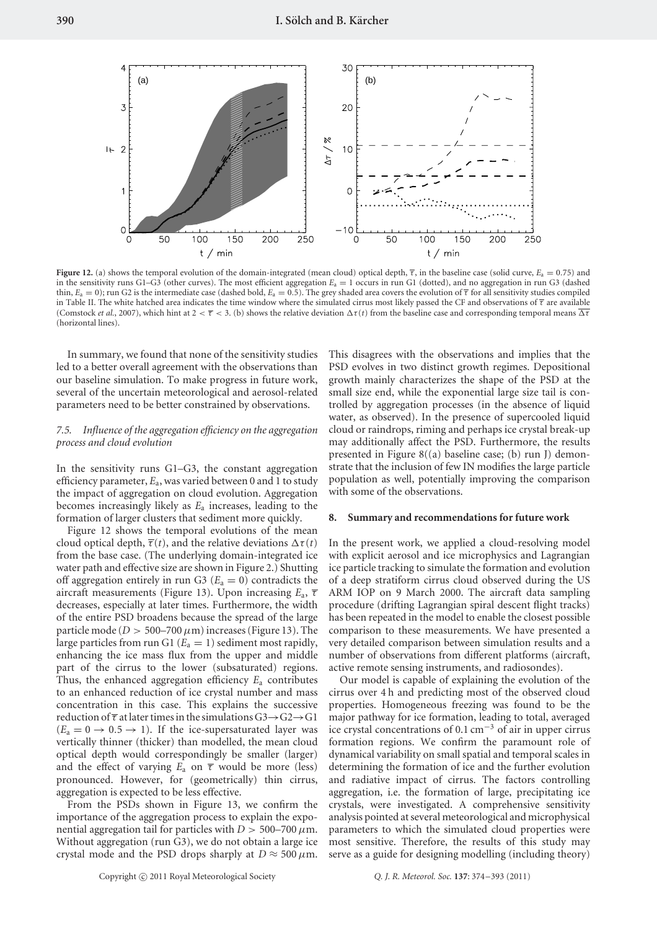

**Figure 12.** (a) shows the temporal evolution of the domain-integrated (mean cloud) optical depth,  $\overline{\tau}$ , in the baseline case (solid curve,  $E_a = 0.75$ ) and in the sensitivity runs G1–G3 (other curves). The most efficient aggregation *E*<sup>a</sup> = 1 occurs in run G1 (dotted), and no aggregation in run G3 (dashed thin,  $E_a = 0$ ); run G2 is the intermediate case (dashed bold,  $E_a = 0.5$ ). The grey shaded area covers the evolution of  $\tau$  for all sensitivity studies compiled in Table II. The white hatched area indicates the time window where the simulated cirrus most likely passed the CF and observations of *τ* are available (Comstock *et al.*, 2007), which hint at  $2 < \overline{\tau} < 3$ . (b) shows the relative deviation  $\Delta \tau(t)$  from the baseline case and corresponding temporal means  $\overline{\Delta \tau}$ (horizontal lines).

In summary, we found that none of the sensitivity studies led to a better overall agreement with the observations than our baseline simulation. To make progress in future work, several of the uncertain meteorological and aerosol-related parameters need to be better constrained by observations.

## *7.5. Influence of the aggregation efficiency on the aggregation process and cloud evolution*

In the sensitivity runs G1–G3, the constant aggregation efficiency parameter, *E*a, was varied between 0 and 1 to study the impact of aggregation on cloud evolution. Aggregation becomes increasingly likely as *E*<sup>a</sup> increases, leading to the formation of larger clusters that sediment more quickly.

Figure 12 shows the temporal evolutions of the mean cloud optical depth,  $\overline{\tau}(t)$ , and the relative deviations  $\Delta \tau(t)$ from the base case. (The underlying domain-integrated ice water path and effective size are shown in Figure 2.) Shutting off aggregation entirely in run G3 ( $E_a = 0$ ) contradicts the aircraft measurements (Figure 13). Upon increasing *E*a, *τ* decreases, especially at later times. Furthermore, the width of the entire PSD broadens because the spread of the large particle mode ( $D > 500-700 \,\mu m$ ) increases (Figure 13). The large particles from run G1 ( $E_a = 1$ ) sediment most rapidly, enhancing the ice mass flux from the upper and middle part of the cirrus to the lower (subsaturated) regions. Thus, the enhanced aggregation efficiency *E*<sup>a</sup> contributes to an enhanced reduction of ice crystal number and mass concentration in this case. This explains the successive reduction of *τ* at later times in the simulations G3→G2→G1  $(E_a = 0 \rightarrow 0.5 \rightarrow 1)$ . If the ice-supersaturated layer was vertically thinner (thicker) than modelled, the mean cloud optical depth would correspondingly be smaller (larger) and the effect of varying  $E_a$  on  $\overline{\tau}$  would be more (less) pronounced. However, for (geometrically) thin cirrus, aggregation is expected to be less effective.

From the PSDs shown in Figure 13, we confirm the importance of the aggregation process to explain the exponential aggregation tail for particles with  $D > 500-700 \,\mu$ m. Without aggregation (run G3), we do not obtain a large ice crystal mode and the PSD drops sharply at  $D \approx 500 \,\mu$ m. This disagrees with the observations and implies that the PSD evolves in two distinct growth regimes. Depositional growth mainly characterizes the shape of the PSD at the small size end, while the exponential large size tail is controlled by aggregation processes (in the absence of liquid water, as observed). In the presence of supercooled liquid cloud or raindrops, riming and perhaps ice crystal break-up may additionally affect the PSD. Furthermore, the results presented in Figure 8((a) baseline case; (b) run J) demonstrate that the inclusion of few IN modifies the large particle population as well, potentially improving the comparison with some of the observations.

#### **8. Summary and recommendations for future work**

In the present work, we applied a cloud-resolving model with explicit aerosol and ice microphysics and Lagrangian ice particle tracking to simulate the formation and evolution of a deep stratiform cirrus cloud observed during the US ARM IOP on 9 March 2000. The aircraft data sampling procedure (drifting Lagrangian spiral descent flight tracks) has been repeated in the model to enable the closest possible comparison to these measurements. We have presented a very detailed comparison between simulation results and a number of observations from different platforms (aircraft, active remote sensing instruments, and radiosondes).

Our model is capable of explaining the evolution of the cirrus over 4 h and predicting most of the observed cloud properties. Homogeneous freezing was found to be the major pathway for ice formation, leading to total, averaged ice crystal concentrations of 0.1 cm−<sup>3</sup> of air in upper cirrus formation regions. We confirm the paramount role of dynamical variability on small spatial and temporal scales in determining the formation of ice and the further evolution and radiative impact of cirrus. The factors controlling aggregation, i.e. the formation of large, precipitating ice crystals, were investigated. A comprehensive sensitivity analysis pointed at several meteorological and microphysical parameters to which the simulated cloud properties were most sensitive. Therefore, the results of this study may serve as a guide for designing modelling (including theory)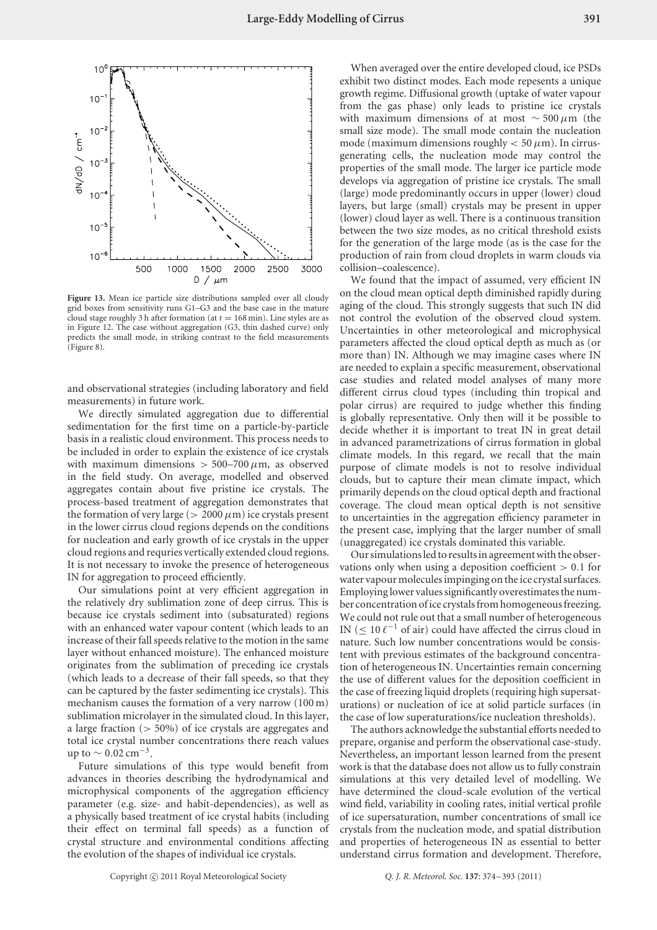

Figure 13. Mean ice particle size distributions sampled over all cloudy grid boxes from sensitivity runs G1–G3 and the base case in the mature cloud stage roughly 3 h after formation (at  $t = 168$  min). Line styles are as in Figure 12. The case without aggregation (G3, thin dashed curve) only predicts the small mode, in striking contrast to the field measurements (Figure 8).

and observational strategies (including laboratory and field measurements) in future work.

We directly simulated aggregation due to differential sedimentation for the first time on a particle-by-particle basis in a realistic cloud environment. This process needs to be included in order to explain the existence of ice crystals with maximum dimensions  $> 500-700 \,\mu \text{m}$ , as observed in the field study. On average, modelled and observed aggregates contain about five pristine ice crystals. The process-based treatment of aggregation demonstrates that the formation of very large ( $> 2000 \mu m$ ) ice crystals present in the lower cirrus cloud regions depends on the conditions for nucleation and early growth of ice crystals in the upper cloud regions and requries vertically extended cloud regions. It is not necessary to invoke the presence of heterogeneous IN for aggregation to proceed efficiently.

Our simulations point at very efficient aggregation in the relatively dry sublimation zone of deep cirrus. This is because ice crystals sediment into (subsaturated) regions with an enhanced water vapour content (which leads to an increase of their fall speeds relative to the motion in the same layer without enhanced moisture). The enhanced moisture originates from the sublimation of preceding ice crystals (which leads to a decrease of their fall speeds, so that they can be captured by the faster sedimenting ice crystals). This mechanism causes the formation of a very narrow (100 m) sublimation microlayer in the simulated cloud. In this layer, a large fraction (*>* 50%) of ice crystals are aggregates and total ice crystal number concentrations there reach values up to  $\sim$  0.02 cm<sup>-3</sup>.

Future simulations of this type would benefit from advances in theories describing the hydrodynamical and microphysical components of the aggregation efficiency parameter (e.g. size- and habit-dependencies), as well as a physically based treatment of ice crystal habits (including their effect on terminal fall speeds) as a function of crystal structure and environmental conditions affecting the evolution of the shapes of individual ice crystals.

When averaged over the entire developed cloud, ice PSDs exhibit two distinct modes. Each mode repesents a unique growth regime. Diffusional growth (uptake of water vapour from the gas phase) only leads to pristine ice crystals with maximum dimensions of at most ∼ 500*µ*m (the small size mode). The small mode contain the nucleation mode (maximum dimensions roughly  $<$  50  $\mu$ m). In cirrusgenerating cells, the nucleation mode may control the properties of the small mode. The larger ice particle mode develops via aggregation of pristine ice crystals. The small (large) mode predominantly occurs in upper (lower) cloud layers, but large (small) crystals may be present in upper (lower) cloud layer as well. There is a continuous transition between the two size modes, as no critical threshold exists for the generation of the large mode (as is the case for the production of rain from cloud droplets in warm clouds via collision–coalescence).

We found that the impact of assumed, very efficient IN on the cloud mean optical depth diminished rapidly during aging of the cloud. This strongly suggests that such IN did not control the evolution of the observed cloud system. Uncertainties in other meteorological and microphysical parameters affected the cloud optical depth as much as (or more than) IN. Although we may imagine cases where IN are needed to explain a specific measurement, observational case studies and related model analyses of many more different cirrus cloud types (including thin tropical and polar cirrus) are required to judge whether this finding is globally representative. Only then will it be possible to decide whether it is important to treat IN in great detail in advanced parametrizations of cirrus formation in global climate models. In this regard, we recall that the main purpose of climate models is not to resolve individual clouds, but to capture their mean climate impact, which primarily depends on the cloud optical depth and fractional coverage. The cloud mean optical depth is not sensitive to uncertainties in the aggregation efficiency parameter in the present case, implying that the larger number of small (unaggregated) ice crystals dominated this variable.

Our simulations led to results in agreement with the observations only when using a deposition coefficient *>* 0*.*1 for water vapour molecules impinging on the ice crystal surfaces. Employing lower values significantly overestimates the number concentration of ice crystals from homogeneous freezing. We could not rule out that a small number of heterogeneous IN ( $\leq 10 \ell^{-1}$  of air) could have affected the cirrus cloud in nature. Such low number concentrations would be consistent with previous estimates of the background concentration of heterogeneous IN. Uncertainties remain concerning the use of different values for the deposition coefficient in the case of freezing liquid droplets (requiring high supersaturations) or nucleation of ice at solid particle surfaces (in the case of low superaturations/ice nucleation thresholds).

The authors acknowledge the substantial efforts needed to prepare, organise and perform the observational case-study. Nevertheless, an important lesson learned from the present work is that the database does not allow us to fully constrain simulations at this very detailed level of modelling. We have determined the cloud-scale evolution of the vertical wind field, variability in cooling rates, initial vertical profile of ice supersaturation, number concentrations of small ice crystals from the nucleation mode, and spatial distribution and properties of heterogeneous IN as essential to better understand cirrus formation and development. Therefore,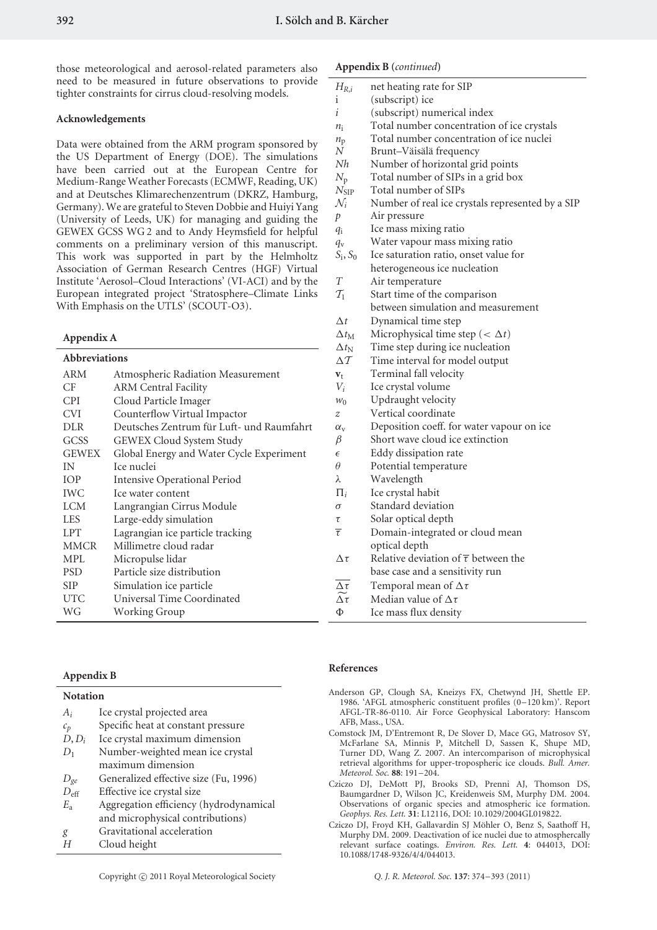those meteorological and aerosol-related parameters also need to be measured in future observations to provide tighter constraints for cirrus cloud-resolving models.

#### **Acknowledgements**

Data were obtained from the ARM program sponsored by the US Department of Energy (DOE). The simulations have been carried out at the European Centre for Medium-Range Weather Forecasts (ECMWF, Reading, UK) and at Deutsches Klimarechenzentrum (DKRZ, Hamburg, Germany). We are grateful to Steven Dobbie and Huiyi Yang (University of Leeds, UK) for managing and guiding the GEWEX GCSS WG 2 and to Andy Heymsfield for helpful comments on a preliminary version of this manuscript. This work was supported in part by the Helmholtz Association of German Research Centres (HGF) Virtual Institute 'Aerosol–Cloud Interactions' (VI-ACI) and by the European integrated project 'Stratosphere–Climate Links With Emphasis on the UTLS' (SCOUT-O3).

#### **Appendix A**

| <b>Abbreviations</b> |                                           |   |
|----------------------|-------------------------------------------|---|
| ARM                  | Atmospheric Radiation Measurement         |   |
| CF                   | <b>ARM Central Facility</b>               |   |
| <b>CPI</b>           | Cloud Particle Imager                     |   |
| <b>CVI</b>           | Counterflow Virtual Impactor              |   |
| <b>DLR</b>           | Deutsches Zentrum für Luft- und Raumfahrt |   |
| GCSS                 | GEWEX Cloud System Study                  | ŀ |
| <b>GEWEX</b>         | Global Energy and Water Cycle Experiment  |   |
| IN                   | Ice nuclei                                | ť |
| <b>IOP</b>           | <b>Intensive Operational Period</b>       |   |
| <b>IWC</b>           | Ice water content                         |   |
| <b>LCM</b>           | Langrangian Cirrus Module                 | C |
| LES                  | Large-eddy simulation                     |   |
| <b>LPT</b>           | Lagrangian ice particle tracking          |   |
| <b>MMCR</b>          | Millimetre cloud radar                    |   |
| MPL                  | Micropulse lidar                          |   |
| <b>PSD</b>           | Particle size distribution                |   |
| <b>SIP</b>           | Simulation ice particle                   |   |
| <b>UTC</b>           | Universal Time Coordinated                |   |
| WG                   | Working Group                             |   |
|                      |                                           |   |

# **Appendix B (***continued***)**

| $H_{R,i}$                 | net heating rate for SIP                             |
|---------------------------|------------------------------------------------------|
| 1                         | (subscript) ice                                      |
| i                         | (subscript) numerical index                          |
| $n_i$                     | Total number concentration of ice crystals           |
| $n_{\rm p}$               | Total number concentration of ice nuclei             |
| Ν                         | Brunt-Väisälä frequency                              |
| Nh                        | Number of horizontal grid points                     |
| $N_{\rm p}$               | Total number of SIPs in a grid box                   |
| $N_{\rm SIP}$             | Total number of SIPs                                 |
| $\mathcal{N}_i$           | Number of real ice crystals represented by a SIP     |
| p                         | Air pressure                                         |
| $q_i$                     | Ice mass mixing ratio                                |
| $q_{\rm v}$               | Water vapour mass mixing ratio                       |
| $S_i, S_0$                | Ice saturation ratio, onset value for                |
|                           | heterogeneous ice nucleation                         |
| Т                         | Air temperature                                      |
| $\mathcal{T}_1$           | Start time of the comparison                         |
|                           | between simulation and measurement                   |
| $\Delta t$                | Dynamical time step                                  |
| $\Delta t_{\rm M}$        | Microphysical time step ( $\langle \Delta t \rangle$ |
| $\Delta t_{\mathrm{N}}$   | Time step during ice nucleation                      |
| $\Delta \mathcal{T}$      | Time interval for model output                       |
| $\mathbf{v}_\text{t}$     | Terminal fall velocity                               |
| $V_i$                     | Ice crystal volume                                   |
| $W_0$                     | Updraught velocity                                   |
| Z                         | Vertical coordinate                                  |
| $\alpha_{\rm v}$          | Deposition coeff. for water vapour on ice            |
| β                         | Short wave cloud ice extinction                      |
| $\epsilon$                | Eddy dissipation rate                                |
| $\theta$                  | Potential temperature                                |
| λ                         | Wavelength                                           |
| $\Pi_i$                   | Ice crystal habit                                    |
| σ                         | Standard deviation                                   |
| τ                         | Solar optical depth                                  |
| $\overline{\tau}$         | Domain-integrated or cloud mean                      |
|                           | optical depth                                        |
| $\Delta \tau$             | Relative deviation of $\overline{\tau}$ between the  |
|                           | base case and a sensitivity run                      |
| $\Delta \tau$             | Temporal mean of $\Delta \tau$                       |
| $\widetilde{\Delta \tau}$ | Median value of $\Delta \tau$                        |
| Φ                         | Ice mass flux density                                |

## **Appendix B**

| <b>Notation</b>                        |  |  |
|----------------------------------------|--|--|
| Ice crystal projected area             |  |  |
| Specific heat at constant pressure     |  |  |
| Ice crystal maximum dimension          |  |  |
| Number-weighted mean ice crystal       |  |  |
| maximum dimension                      |  |  |
| Generalized effective size (Fu, 1996)  |  |  |
| Effective ice crystal size             |  |  |
| Aggregation efficiency (hydrodynamical |  |  |
| and microphysical contributions)       |  |  |
| Gravitational acceleration             |  |  |
| Cloud height                           |  |  |
|                                        |  |  |

# **References**

- Anderson GP, Clough SA, Kneizys FX, Chetwynd JH, Shettle EP. 1986. 'AFGL atmospheric constituent profiles (0–120 km)'. Report AFGL-TR-86-0110. Air Force Geophysical Laboratory: Hanscom AFB, Mass., USA.
- Comstock JM, D'Entremont R, De Slover D, Mace GG, Matrosov SY, McFarlane SA, Minnis P, Mitchell D, Sassen K, Shupe MD, Turner DD, Wang Z. 2007. An intercomparison of microphysical retrieval algorithms for upper-tropospheric ice clouds. *Bull. Amer. Meteorol. Soc.* **88**: 191–204.
- Cziczo DJ, DeMott PJ, Brooks SD, Prenni AJ, Thomson DS, Baumgardner D, Wilson JC, Kreidenweis SM, Murphy DM. 2004. Observations of organic species and atmospheric ice formation. *Geophys. Res. Lett.* **31**: L12116, DOI: 10.1029/2004GL019822.
- Cziczo DJ, Froyd KH, Gallavardin SJ Möhler O, Benz S, Saathoff H, Murphy DM. 2009. Deactivation of ice nuclei due to atmosphercally relevant surface coatings. *Environ. Res. Lett.* **4**: 044013, DOI: 10.1088/1748-9326/4/4/044013.